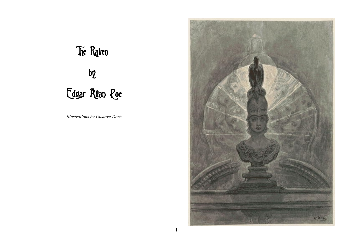# The Raven by Edgar Allan Poe

*Illustrations by Gustave Doré*

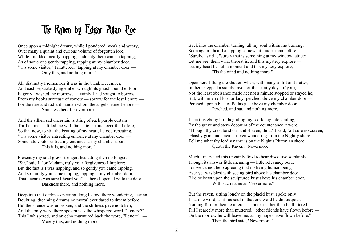#### The Raven by Edgar Allan Poe

Once upon a midnight dreary, while I pondered, weak and weary, Over many a quaint and curious volume of forgotten lore, While I nodded, nearly napping, suddenly there came a tapping, As of some one gently rapping, rapping at my chamber door. "Tis some visitor," I muttered, "tapping at my chamber door — Only this, and nothing more."

Ah, distinctly I remember it was in the bleak December, And each separate dying ember wrought its ghost upon the floor. Eagerly I wished the morrow; — vainly I had sought to borrow From my books surcease of sorrow — sorrow for the lost Lenore — For the rare and radiant maiden whom the angels name Lenore — Nameless here for evermore.

And the silken sad uncertain rustling of each purple curtain Thrilled me — filled me with fantastic terrors never felt before; So that now, to still the beating of my heart, I stood repeating, "'Tis some visitor entreating entrance at my chamber door — Some late visitor entreating entrance at my chamber door; — This it is, and nothing more."

Presently my soul grew stronger; hesitating then no longer, "Sir," said I, "or Madam, truly your forgiveness I implore; But the fact is I was napping, and so gently you came rapping, And so faintly you came tapping, tapping at my chamber door, That I scarce was sure I heard you" — here I opened wide the door; — Darkness there, and nothing more.

Deep into that darkness peering, long I stood there wondering, fearing, Doubting, dreaming dreams no mortal ever dared to dream before; But the silence was unbroken, and the stillness gave no token, And the only word there spoken was the whispered word, "Lenore?" This I whispered, and an echo murmured back the word, "Lenore!" — Merely this, and nothing more.

Back into the chamber turning, all my soul within me burning, Soon again I heard a tapping somewhat louder than before. "Surely," said I, "surely that is something at my window lattice: Let me see, then, what thereat is, and this mystery explore — Let my heart be still a moment and this mystery explore; — 'Tis the wind and nothing more."

Open here I flung the shutter, when, with many a flirt and flutter, In there stepped a stately raven of the saintly days of yore; Not the least obeisance made he; not a minute stopped or stayed he; But, with mien of lord or lady, perched above my chamber door — Perched upon a bust of Pallas just above my chamber door — Perched, and sat, and nothing more.

Then this ebony bird beguiling my sad fancy into smiling, By the grave and stern decorum of the countenance it wore. "Though thy crest be shorn and shaven, thou," I said, "art sure no craven, Ghastly grim and ancient raven wandering from the Nightly shore — Tell me what thy lordly name is on the Night's Plutonian shore!" Quoth the Raven, "Nevermore."

Much I marveled this ungainly fowl to hear discourse so plainly, Though its answer little meaning — little relevancy bore; For we cannot help agreeing that no living human being Ever yet was blest with seeing bird above his chamber door — Bird or beast upon the sculptured bust above his chamber door, With such name as "Nevermore."

But the raven, sitting lonely on the placid bust, spoke only That one word, as if his soul in that one word he did outpour. Nothing further then he uttered — not a feather then he fluttered — Till I scarcely more than muttered, "other friends have flown before — On the morrow he will leave me, as my hopes have flown before." Then the bird said, "Nevermore."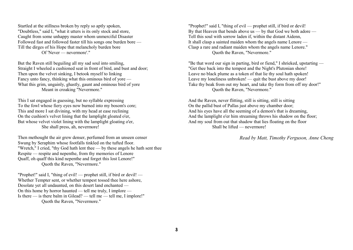Startled at the stillness broken by reply so aptly spoken, "Doubtless," said I, "what it utters is its only stock and store, Caught from some unhappy master whom unmerciful Disaster Followed fast and followed faster till his songs one burden bore — Till the dirges of his Hope that melancholy burden bore Of 'Never — nevermore'."

But the Raven still beguiling all my sad soul into smiling, Straight I wheeled a cushioned seat in front of bird, and bust and door; Then upon the velvet sinking, I betook myself to linking Fancy unto fancy, thinking what this ominous bird of yore — What this grim, ungainly, ghastly, gaunt and ominous bird of yore Meant in croaking "Nevermore."

This I sat engaged in guessing, but no syllable expressing To the fowl whose fiery eyes now burned into my bosom's core; This and more I sat divining, with my head at ease reclining On the cushion's velvet lining that the lamplight gloated o'er, But whose velvet violet lining with the lamplight gloating o'er, She shall press, ah, nevermore!

Then methought the air grew denser, perfumed from an unseen censer Swung by Seraphim whose footfalls tinkled on the tufted floor. "Wretch," I cried, "thy God hath lent thee — by these angels he hath sent thee Respite — respite and nepenthe, from thy memories of Lenore Quaff, oh quaff this kind nepenthe and forget this lost Lenore!" Quoth the Raven, "Nevermore."

"Prophet!" said I, "thing of evil! — prophet still, if bird or devil! — Whether Tempter sent, or whether tempest tossed thee here ashore, Desolate yet all undaunted, on this desert land enchanted — On this home by horror haunted — tell me truly, I implore — Is there — is there balm in Gilead? — tell me — tell me, I implore!" Quoth the Raven, "Nevermore."

"Prophet!" said I, "thing of evil — prophet still, if bird or devil! By that Heaven that bends above us — by that God we both adore — Tell this soul with sorrow laden if, within the distant Aidenn, It shall clasp a sainted maiden whom the angels name Lenore — Clasp a rare and radiant maiden whom the angels name Lenore." Quoth the Raven, "Nevermore."

"Be that word our sign in parting, bird or fiend," I shrieked, upstarting — "Get thee back into the tempest and the Night's Plutonian shore! Leave no black plume as a token of that lie thy soul hath spoken! Leave my loneliness unbroken! — quit the bust above my door! Take thy beak from out my heart, and take thy form from off my door!" Quoth the Raven, "Nevermore."

And the Raven, never flitting, still is sitting, still is sitting On the pallid bust of Pallas just above my chamber door; And his eyes have all the seeming of a demon's that is dreaming, And the lamplight o'er him streaming throws his shadow on the floor; And my soul from out that shadow that lies floating on the floor Shall be lifted — nevermore!

*Read by Matt, Timothy Ferguson, Anne Cheng*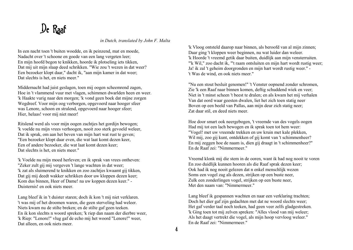# De Raaf

*in Dutch, translated by John F. Malta*

In een nacht toen 't buiten woedde, en ik peinzend, mat en moede, Nadacht over 't schoone en goede van een lang vergeten leer; En mijn hoofd begon te knikken, hoorde ik plotseling iets tikken, Dat mij uit mijn slaap deed schrikken. "Wie zou 't wezen in dat weer? Een bezoeker klopt daar," dacht ik, "aan mijn kamer in dat weer; Dat slechts is het, en niets meer."

Middernacht had juist geslagen, toen mij oogen scheemrend zagen, Hoe in 't vlammend vuur met vlagen, schimmen dwarlden heen en weer. 'k Haakte vurig naar den morgen; 'k vond geen boek dat mijne zorgen Wegdreef. Voor mijn oog verborgen, opgevoerd naar hooger sfeer was Lenore, schoon en stralend, opgevoerd naar hooger sfeer; Hier, helaas! voor mij niet meer!

Ritslend werd als voor mijn oogen zachtjes het gordijn bewogen; 'k voelde nu mijn vrees verhoogen, nooit zoo sterk gevoeld weleer, Dat ik sprak, om aan het beven van mijn hart wat rust te geven; "Een bezoeker klopt daar even, die wat laat komt dezen keer, Een of andere bezoeker, die wat laat komt dezen keer; Dat slechts is het, en niets meer."

'k Voelde nu mijn moed herleven; en ik sprak van vrees ontheven: "Zeker zult gij mij vergeven 't lange wachten in dat weer; 'k zat als sluimerend te knikken en zoo zachties kwaamt gij tikken, Dat gij mij deedt wakker schrikken door uw kloppen dezen keer; Kom dus binnen, Heer of Dame! na uw koppen dezen keer." - Duisternis! en ook niets meer.

Lang bleef ik in 't duister staren; doch ik kon 't mij niet verklaren. 't was mij of het droomen waren, die geen sterveling had weleer. Niets kwam nu de stilte breken; en de stilte gaf geen teeken. En ik kon slechts n woord spreken; 'k riep dan naam der dierbre weer, 'k Riep: "Lenore!" vlug gaf de echo mij het woord "Lenore!" weer, Dat alleen, en ook niets meer.

'k Vloog ontsteld daarop naar binnen, als beroofd van al mijn zinnen; Daar ging 't kloppen weer beginnen, nu wat luider dan weleer. 'k Hoorde 't vreemd getik daar buiten, duidlijk aan mijn vensterruiten. "'k Wil," zoo dacht ik, "'t raam ontsluiten en mijn hart wordt rustig weer; Ja! ik zal 't geheim doorgronden en mijn hart wordt rustig weer." - 't Was de wind, en ook niets meer."

"Nu een stout besluit genomen!" 't Venster oopnend zonder schromen, Zie 'k een Raaf naar binnen komen, deftig schuddend wiek en veer; Niet in 't minst scheen 't beest te dralen; en als kwam het mij verhalen Van dat oord waar geesten dwalen, liet het zich toen statig neer Boven op een beeld van Pallas, aan mijn deur zich statig neer; Zat daar stil, en deed niets meer.

Hoe door smart ook neergebogen, 't vreemde van des vogels oogen Had mij tot een lach bewogen en ik sprak toen tot hem weer: "Vogel! met uw vreemde trekken en uw kruin met kale plekken, Wil mij, zoo gij kunt, ontdekken of gij komt van 't schimmenheer? En mij zeggen hoe de naam is, dien gij draagt in 't schimmenheer?" En de Raaf zei: "Nimmermeer."

Vreemd klonk mij die stem in de ooren, want ik had nog nooit te voren En zoo duidlijk kunnen hooren als die Raaf sprak dezen keer; Ook had ik nog nooit gelezen dat n enkel menschlijk wezen Soms een vogel zag als dezen, strijken op een buste neer, Zulk een zonderlingen vogel, strijken op een buste neer, Met den naam van: "Nimmermeer."

Lang bleef ik gespannen wachten en naar een verklaring trachten; Doch het dier gaf zijn gedachten met dat ne woord slechts weer; Het gaf verder taal noch teeken, had geen veer zelfs gladgestreken. 'k Ging toen tot mij zelven spreken: "Alles vlood van mij weleer; Als het daagt vertrekt die vogel, als mijn hoop vervloog weleer." En de Raaf zei: "Nimmermeer."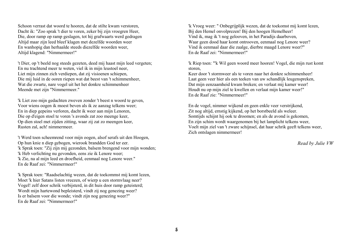Schoon verrast dat woord te hooren, dat de stilte kwam verstoren, Dacht ik: "Zoo sprak 't dier te voren, zeker bij zijn vroegren Heer, Die, door ramp op ramp geslagen, tot hij grafwaarts werd gedragen Altijd maar zijn leed bleef klagen met dezelfde woorden weer En wanhopig dan herhaalde steeds diezelfde woorden weer, Altijd klagend: "Nimmermeer!"

't Dier, op 't beeld nog steeds gezeten, deed mij haast mijn leed vergeten; En nu trachtend meer te weten, viel ik in mijn leustoel neer, Liet mijn zinnen zich verdiepen, dat zij visioenen schiepen, Die mij luid in de ooren riepen wat dat beest van 't schimmenheer, Wat die zwarte, nare vogel uit het het donkre schimmenheer Meende met zijn "Nimmermeer."

'k Liet zoo mijn gedachten zweven zonder 't beest n woord te geven, Voor wiens oogen ik moest beven als ik ze aanzag telkens weer; En in diep gepeins verloren, dacht ik weer aan mijn Lenoren, Die op d'eigen stoel te voren 's avonds zat zoo meenge keer, Op dien stoel met zijden zitting, waar zij zat zo meengen keer, Rusten zal, ach! nimmermeer.

't Werd toen scheemrend voor mijn oogen, alsof serafs uit den Hoogen, Op hun knie n diep gebogen, wierook brandden God ter eer. 'k Sprak toen: "Zij zijn mij gezonden, balsem brengend voor mijn wonden; 'k Heb verlichting nu gevonden, eens zie ik Lenore weer; 'k Zie, na al mijn leed en droefheid, eenmaal nog Lenore weer." En de Raaf zei: "Nimmermeer!"

'k Sprak toen: "Raadselachtig wezen, dat de toekommst mij komt lezen, Moet 'k hier Satans listen vreezen, of wierp u een stormvlaag neer? Vogel! zelf door schrik verbijsterd, in dit huis door ramp geteisterd; Wordt mijn hartewond bepleisterd, vindt zij nog genezing weer? Is er balsem voor die wonde; vindt zijn nog genezing weer?" En de Raaf zei: "Nimmermeer!"

'k Vroeg weer: " Onbegrijplijk wezen, dat de toekomst mij komt lezen, Bij den Hemel onvolprezen! Bij den hoogen Hemelheer! Vind ik, mag ik 't nog gelooven, in het Paradijs daarboven, Waar geen dood haar komt ontrooven, eenmaal nog Lenore weer? Vind ik eenmaal daar die zaalge, dierbre maagd Lenore weer?" En de Raaf zei: "Nimmermeer!"

'k Riep toen: "'k Wil geen woord meer hooren! Vogel, die mijn rust komt storen,

Keer door 't stormweer als te voren naar het donkre schimmenheer! Laat geen veer hier als een teeken van uw schandlijk leugenspreken, Dat mijn eenzaamheid kwam breken; en verlaat mij kamer weer! Houdt nu op mijn ziel te kwellen en verlaat mijn kamer weer!" En de Raaf zie: "Nimmermeer!"

En de vogel, nimmer wijkend en geen enkle veer verstrijkend, Zit nog altijd, ernstig kijkend, op het borstbeeld als weleer. Somtijds schijnt hij ook te droomen; en als de avond is gekomen, En zijn schim wordt waargenomen bij het lamplicht telkens weer, Voelt mijn ziel van 't zware schijnsel, dat haar schrik geeft telkens weer, Zich ontslagen nimmermeer!

*Read by Julie VW*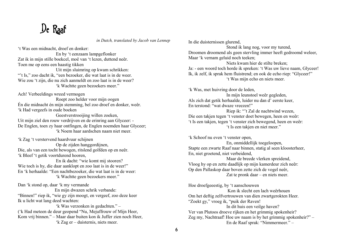# De Raaf

*in Dutch, translated by Jacob van Lennep*

't Was een midnacht, droef en donker:

 En by 't eenzaam lampgeflonker Zat ik in mijn stille boekcel, moê van 't lezen, duttend neêr. Toen me op eens een haastig tikken Uit mijn sluimring op kwam schrikken: "'t Is," zoo dacht ik, "een bezoeker, die wat laat is in de weer. Wie zou 't zijn, die nu zich aanmeldt en zoo laat is in de weer? 'k Wachtte geen bezoekers meer."

Ach! Verbeeldings wreed vermogen

 Roept zoo helder voor mijn oogen Én die midnacht én mijn stemming, beî zoo droef en donker, weêr. 'k Had vergeefs in oude boeken

Geestverstrooijing willen zoeken. Uit mijn ziel den rouw verdrijven en de erinring aan Glyceer: - De Englen, toen zy haar ontfingen, de Englen noemden haar Glyceer; 'k Noem haar aardschen naam niet meer.

'k Zag 't verstervend haardvuur schijnen Op de zijden hanggordijnen,

Die, als van een tocht bewogen, ritslend golfden op en neêr. 'k Bleef 't getik voortdurend hooren,

 En ik dacht: "wie komt mij stooren? Wie toch is hy, die daar aanklopt en zoo laat is in de weer!" En 'k herhaalde: "Een nachtbezoeker, die wat laat is in de weer: 'k Wachtte geen bezoekers meer."

Dan 'k stond op, daar 'k my vermande En mijn dwazen schrik verbande: "Binnen!" riep ik, "wie gy zijn moogt, en vergeef, zoo deze keer Ik u licht wat lang deed wachten:

 'k Was verzonken in gedachten." – ('k Had meteen de deur geopend "Nu, Mejuffrouw of Mijn Heer, Kom vrij binnen." – Maar daar buiten kon ik Juffer zien noch Heer, 'k Zag er – duisternis, niets meer.

In die duisternissen glurend, Stond ik lang nog, voor my turend, Droomen droomend als geen stervling immer heeft gedroomd weleer, Maar 'k vernam geluid noch teeken; Niets kwam hier de stilte breken;

Ja: - een woord toch horde ik spreken: 't Was uw lieve naam, Glyceer! Ik, ik zelf, ik sprak hem fluistrend; en ook de echo riep: "Glyceer!" 't Was mijn echo en niets meer.

'k Was, met huivring door de leden, In mijn leunstoel weêr gegleden, Als zich dat getik herhaalde, luider nu dan d' eerste keer, En terstond: "wat dwaze vreezen!" Riep ik: "'t Zal de nachtwind wezen, Die een takjen tegen 't venster doet bewegen, heen en weêr: 't Is een takjen, tegen 't venster zich bewegend, heen en weêr: 't Is een takjen en niet meer."

'k Schoof nu even 't venster open, En, onmiddellijk toegeloopen, Stapte een zwarte Raaf naar binnen, statig al seen kloosterheer, En, niet groetend, niet verbeidend, Maar de breede vlerken spreidend, Vloog hy op en zette daadlijk op mijn kamerdeur zich neêr: Op den Pallaskop daar boven zette zich de vogel neêr, Zat te pronk daar – en niets meer.

Hoe droefgeeestig, by 't aanschouwen Kon ik slecht een lach weêrhouen Om het deftig zelfvertrouwen van dien zwartgerokten Heer. "Zoekt gy," vroeg ik, "puik der Raven! In dit huis een veilge haven? Ver van Plutoos droeve rijken en het grimmig spokenheir? Zeg my, Nachtraaf! Hoe uw naam is by het grimmig spokenheir?" – En de Raaf sprak: "Nimmermeer." –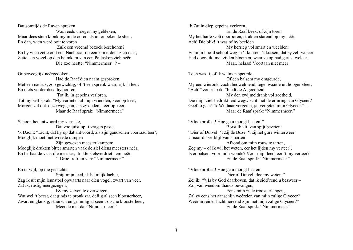Dat somtijds de Raven spreken Was reeds vroeger my gebleken; Maar dees stem klonk my in de ooren als uit onbekende sfeer. En dan, wien werd ooit te voren Zulk een vreemd bezoek beschoren? En by wien zette ooit een Nachtraaf op een kamerdeur zich neêr, Zette een vogel op den helmkam van een Pallaskop zich neêr, Die zóo heette: "Nimmermeer" ? –

Onbeweeglijk neérgedoken, Had de Raaf dien naam gesproken, Met een nadruk, zoo gewichtig, of 't een spreuk waar, rijk in leer. En niets verder deed hy hooren, Tot ik, in gepeins verloren, Tot my zelf sprak: "My verlieten al mijn vrienden, keer op keer, Morgen zal ook deze weggaan, als zy deden, keer op keer, Maar de Raaf sprak: "Nimmermeer."

Schoon het antwoord my verraste, Dat zoo juist op 't vragen paste. 'k Dacht: "Licht, dat hy op dat antwoord, als zijn gandschen voorraad teer'; Mooglijk moet met wreede rampen Zijn gewezen meester kampen; Mooglijk drukten bitter smarten vaak de ziel diens meesters neêr, En herhaalde vaak die meester, drukte zielsverdriet hem neêr, 't Droef refrein van: "Nimmermeer."

En terwijl, op die gedachte,

 Spijt mijn leed, ik heimlijk lachte, Zag ik uit mijn leunstoel opwaarts naar dien vogel, zwart van veer. Zat ik, rustig neêrgezegen,

 By my zelven te overwegen, Wat wel 't beest, dat ginds te pronk zat, deftig al seen kloosterheer, Zwart en glanzig, stuursch en grimmig al seen trotsche kloosterheer, Meende met dat "Nimmermeer."

'k Zat in diep gepeins verloren, En de Raaf keek, of zijn toren My het harte woû doorboren, strak en starend op my neêr. Ach! Die blik! 't was of hy beelden My herriep vol smart en weelden: En mijn hoofd school weg in 't kussen, 't kussen, dat zy zelf weleer Had doorstikt met zijden bloemen, waar ze op had gerust weleer, Maar, helaas! Voortaan niet meer!

Toen was 't, of ik walmen speurde, Of een balsem my omgeurde, My een wierook, zacht bedwelmend, tegenwaaide uit hooger sfeer. "Ach!" zoo riep ik: "biedt de Algoedheid My den zwijmeldrank vol zoetheid, Die mijn zielsbedruktheid wegwischt met de erinring aan Glyceer? Geef, o geef! 'k Wil haar vergeten, ja, vergeten mijn Glyceer." – Maar de Raaf sprak: "Nimmermeer."

"Vloekprofeet! Hoe ge u moogt heeten!" Borst ik uit, van spijt bezeten: "Dier of Duivel! 't Zij de Boze, 't zij het gure winterweer U naar dit verblijf van smarten Afzond om mijn rouw te tarten, Zeg my – o! ik wil het weten, eer het lijden my verteer', Is er balsem voor mijn wonde? Voor mijn leed, eer 't my verteer? En de Raaf sprak: "Nimmermeer."

"Vloekprofeet! Hoe ge u moogt heeten! Dier of Duivel, doe my weten," Zei ik: "'t Is by God daarboven, dat ik sidd'rend u bezweer – Zal, van weedom thands bevangen, Eens mijn ziele troost erlangen,

Zal zy eens het aanschijn weêrzien van mijn zalige Glyceer? Weêr in reiner lucht hereend zijn met mijn zalige Glyceer?" En de Raaf sprak: "Nimmermeer."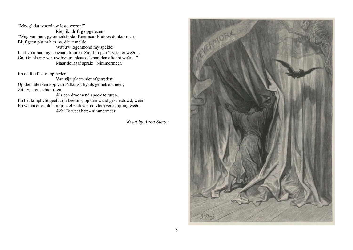"Moog' dat woord uw leste wezen!" Riep ik, driftig opgerezen: "Weg van hier, gy onheilsbode! Keer naar Plutoos donker meir, Blijf geen pluim hier na, die 't melde Wat uw logenmond my spelde: Laat voortaan my eenzaam treuren. Zie! Ik open 't vesnter weêr… Ga! Ontsla my van uw byzijn, blaas of kraai den aftocht weêr…" Maar de Raaf sprak: "Nimmermeer."

En de Raaf is tot op heden

 Van zijn plaats niet afgetreden; Op dien bleeken kop van Pallas zit hy als gemetseld neêr, Zit hy, uren achter uren,

 Als een droomend spook te turen, En het lamplicht geeft zijn beeltnis, op den wand geschaduwd, weêr: En wanneer ontdoet mijn ziel zich van de vloekverschijning weêr? Ach! Ik weet het: - nimmermeer.

*Read by Anna Simon* 

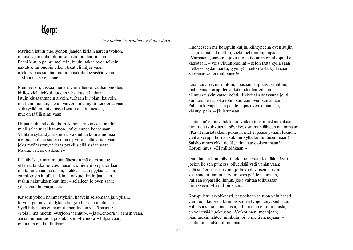#### Korpi

*in Finnish, translated by Valter Juva*

Murhein istuin puoliyöhön, jääden kirjain ääreen työhön, muinaisajan unhotettuin salaistietoin harkintaan. Pääni kun jo painui melkein, kuului takaa oven telkein nakutus, mi oudoin elkein tikutteli hiljaa vaan. »Joku vieras siellä», mietin, »nakuttelee sisään vaan. – Muuta ei se olekaan».

Menneet oli, tuskaa tuoden, viime hetket vanhan vuoden, hiillos vielä lekkui, luoden virvakuvat lattiaan. Istuin kiusaantunein aivoin, turhaan kirjojani kaivoin, murhein muistin, sielun vaivoin, mennyttä Lenooraa vaan, säihkyvää, mi taivahissa Lenoorana tunnetaan, mut on täällä nimi vaan.

Hiljaa heilui silkkikaihdin, kahinat ja kuiskeet aihdin, – mieli salaa tunsi kammon, jot' ei ennen konsanaan. Viihtäin sykähdystä somaa, vakuuttaa koin alinomaa: »Vieras, joll' ei suojaa omaa, pyrkii siellä sisään vaan, joku myöhästynyt vieras pyrkii siellä sisään vaan. Muuta, vai, se oisikaan?»

Päättävästi, ilman muuta lähestyin mä oven suuta: »Herra, taikka rouva», lausuin, »mieleni on pahoillaan; mutta uinahtaa ma taisin, – ehkä sisään pyytää saisin; en mä ensin kuullut laisin, – nakutettiin hiljaa vaan, tuskin nakutuksen kuulin»; – selälleen jo oven saan: yö se vain loi varjojaan.

Katsoin yöhön hämmästyksin, haavein seisomaan jäin yksin, toivon, pelon värähdyksin heityin hurjaan unelmaan. Syvä hiljaisuus ei laannut, merkkiä en yöstä saanut: »Pois», ma mietin, »varjoon taannut», – ja »Lenoora?» äänsin vaan, äänsin nimen tuon, ja kaiku soi, »Lenoora!» hiljaa vaan; muuta en mä kuullutkaan.

Huoneeseen ma hoippuin kuljin, kiihtyneenä oven suljin; taas jo siinä nakutettiin, vielä melkein lujempaan. »Varmaan», sanoin, »joku tuolla ikkunan on ulkopuolla; katsotaan, – vois viluun kuolla! – selon tästä kyllä saan! Hetkeks, sydän parka, tyynny! – selon tästä kyllä saan: Varmaan se on tuuli vaan!»

Lasin auki revin riuhtoin; – sisään, siipiänsä viuhtoin, mahtavana korppi lensi ikäkaudet harteillaan. Minuun tuskin katsoi kohti, liikkeitään se tyynnä johti, kuin ois herra, joka tohti, suoraan oven kamanaan; Pallaan kuvapatsaan päälle leijas oven kamanaan, kääntyi päin, – jäi istumaan.

Lintu siin' ei hievahdakaan; vaikka tunsin tuskan vakaan, niin tuo arvokkuus ja pöyhkeys sai mun ääneen nauramaan: »Kävit mustatakkein pukuun, mut et pääse pyhäin lukuun; vanha korppi, hornan sukuun kyllä kuulut öisen maan! – Saisko nimes ehkä tietää, julma aave öisen maan?» – Korppi huus: »Ei milloinkaan.»

Oudoltahan lintu näytti, joka noin vaan kieltään käytti, joskin lie sen puheess' ollut sisällystä vähän vaan; sillä siit' ei pääse arvoin, jotta kuolevaisen karvoin vastaanotat linnun harvoin oves päälle istumaan, Pallaan kypärälle linnun, joka väittää tolkussaan nimekseen: »Ei milloinkaan.»

Korppi istui arvokkaasti, patsaaltaan se tuon vain haasti, vain tuon lauseen, kuin ois siihen tyhjentänyt sieluaan. Hiljaisuus tuo painostusta, – liikukaan ei lintu musta, – en voi estää huokausta: »Veikot meni menojaan; pian tuokin lähtee, niinkuin toivo meni menojaan! – Lintu huus: »Ei milloinkaan.»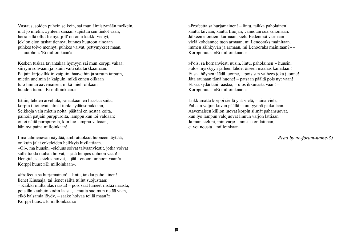Vastaus, soiden puhein selkein, sai mun äimistymään melkein, mut jo mietin: »yhteen sanaan supistuu sen tiedot vaan; herra sillä ollut lie nyt, jolt' on onni kaikki vienyt, jok' on elon tuskat tiennyt, kunnes huutoon ainoaan puhkes toivo mennyt, puhkes vaivat, pettymykset maan, – huutohon: 'Ei milloinkaan'».

Kesken tuskaa tavantakaa hymyyn sai mun korppi vakaa, siirryin sohvaani ja istuin vaiti sitä tarkkaamaan. Patjain kirjosilkkiin vaipuin, haaveihin ja suruun taipuin, mietin unelmin ja kaipuin, mikä ennen olikaan tulo linnun aavemaisen, mikä mieli olikaan huudon tuon: »Ei milloinkaan.»

Istuin, tehden arveluita, sanaakaan en haastaa suita, korpin tuiottavat silmät tunki sydänsopukkaan, Seikkoja vain mietin noita, päätäni en nostaa koita, painoin patjain purppuroita, lamppu kun loi valoaan; oi, ei näitä purppuroita, kun luo lamppu valoaan, hän nyt paina milloinkaan!

Ilma tahmenevan näyttää, ambratuoksut huoneen täyttää, on kuin jalat enkeleiden helkkyis kivilattiaan. »Oi», ma huusin, »sieluus soivat taivaanviestit, jotka voivat sulle tuoda rauhan hoivat, – jätä lempes unhoon vaan!» Hengitä, saa sielus hoivat, – jää Lenoora unhoon vaan!» Korppi huus: »Ei milloinkaan».

»Profeetta sa hurjamainen! – lintu, taikka paholainen! – lienet Kiusaaja, tai lienet säiltä tullut suojustaan: – Kaikki multa alas raasta! – pois saat lumeet riistää maasta, pois tän kauhuin kodin laasta, – mutta suo mun tietää vaan, eikö balsamia löydy, – saako hoivaa teillä maan?» Korppi huus: »Ei milloinkaan.»

»Profeetta sa hurjamainen! – lintu, taikka paholainen! kautta taivaan, kautta Luojan, vannotan sua sanomaan: Jälkeen elontieni karmaan, sielu Eedenissä varmaan vielä kohdannee tuon armaan, mi Lenooraks mainitaan. immen säihkyvän ja armaan, mi Lenooraks mainitaan?» – Korppi huus: »Ei milloinkaan.»

»Pois, sa hornanviesti uusin, lintu, paholainen!» huusin, »ulos myrskyyn jälleen lähde, öiseen maahas kamalaan! Ei saa höyhen jäädä tuonne, – pois sun valhees joka juonne! Jätä rauhaan tämä huone! – patsaan päältä pois nyt vaan! Et saa sydäntäni raastaa, – ulos ikkunasta vaan! – Korppi huus: »Ei milloinkaan.»

Liikkumatta korppi siellä yhä vielä, – aina vielä, – Pallaan valjun kuvan päällä istuu tyynnä paikallaan. Aavemaisen kiillon luovat korpin silmät pahansuovat, kun lyö lampun valojuovat linnun varjon lattiaan. Ja mun sieluni, min varjo lannistaa on lattiaan, ei voi nousta – milloinkaan.

*Read by no-forum-name-33*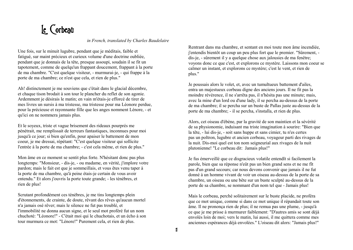# Le Corbeau

*in French, translated by Charles Baudelaire* 

Une fois, sur le minuit lugubre, pendant que je méditais, faible et fatigué, sur maint précieux et curieux volume d'une doctrine oubliée, pendant que je donnais de la tête, presque assoupi, soudain il se fit un tapotement, comme de quelqu'un frappant doucement, frappant à la porte de ma chambre. "C'est quelque visiteur, - murmurai-je, - qui frappe à la porte de ma chambre; ce n'est que cela, et rien de plus."

Ah! distinctement je me souviens que c'était dans le glacial décembre, et chaque tison brodait à son tour le plancher du reflet de son agonie. Ardemment je désirais le matin; en vain m'étais-je efforcé de tirer de mes livres un sursis à ma tristesse, ma tristesse pour ma Léonore perdue, pour la précieuse et rayonnante fille que les anges nomment Lénore, - et qu'ici on ne nommera jamais plus.

Et le soyeux, triste et vague brisement des rideaux pourprés me pénétrait, me remplissait de terreurs fantastiques, inconnues pour moi jusqu'à ce jour; si bien qu'enfin, pour apaiser le battement de mon coeur, je me dressai, répétant: "C'est quelque visiteur qui sollicite l'entrée à la porte de ma chambre; - c'est cela même, et rien de plus."

Mon âme en ce moment se sentit plus forte. N'hésitant donc pas plus longtemps: "Monsieur, - dis-je, - ou madame, en vérité, j'implore votre pardon; mais le fait est que je sommeillais, et vous êtes venu taper à la porte de ma chambre, qu'à peine étais-je certain de vous avoir entendu." Et alors j'ouvris la porte toute grande; - les ténèbres, et rien de plus!

Scrutant profondément ces ténèbres, je me tins longtemps plein d'étonnements, de crainte, de doute, rêvant des rêves qu'aucun mortel n'a jamais osé rêver; mais le silence ne fut pas troublé, et l'immobilité ne donna aucun signe, et le seul mot proféré fut un nom chuchoté: "Léonore!" - C'était moi qui le chuchotais, et un écho à son tour murmura ce mot: "Lénore!" Purement cela, et rien de plus.

Rentrant dans ma chambre, et sentant en moi toute mon âme incendiée, j'entendis bientôt un coup un peu plus fort que le premier. "Sûrement, dis-je, - sûrement il y a quelque chose aux jalousies de ma fenêtre; voyons donc ce que c'est, et explorons ce mystère. Laissons mon coeur se calmer un instant, et explorons ce mystère; c'est le vent, et rien de plus."

Je poussais alors le volet, et, avec un tumultueux battement d'ailes, entra un majestueux corbeau digne des anciens jours. Il ne fit pas la moindre révérence, il ne s'arrêta pas, il n'hésita pas une minute; mais, avec la mine d'un lord ou d'une lady, il se percha au-dessus de la porte de ma chambre; il se percha sur un buste de Pallas juste au-dessus de la porte de ma chambre; - il se percha, s'installa, et rien de plus.

Alors, cet oiseau d'ébène, par la gravité de son maintien et la sévérité de sa physionomie, induisant ma triste imagination à sourire: "Bien que la tête, - lui dis-je, - soit sans huppe et sans cimier, tu n'es certes pas un poltron, lugubre et ancien corbeau, voyageur parti des rivages de la nuit. Dis-moi quel est ton nom seigneurial aux rivages de la nuit plutonienne! "Le corbeau dit: Jamais plus!"

Je fus émerveillé que ce disgracieux volatile entendît si facilement la parole, bien que sa réponse n'eût pas un bien grand sens et ne me fît pas d'un grand secours; car nous devons convenir que jamais il ne fut donné à un homme vivant de voir un oiseau au-dessus de la porte de sa chambre, un oiseau ou une bête sur un buste sculpté au-dessus de la porte de sa chambre, se nommant d'un nom tel que - Jamais plus!

Mais le corbeau, perché solitairement sur le buste placide, ne proféra que ce mot unique, comme si dans ce mot unique il répandait toute son âme. Il ne prononça rien de plus; il ne remua pas une plume, - jusqu'à ce que je me prisse à murmurer faiblement: "D'autres amis se sont déjà envolés loin de moi; vers le matin, lui aussi, il me quittera comme mes anciennes espérances déjà envolées." L'oiseau dit alors: "Jamais plus!"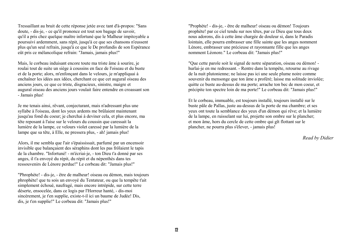Tressaillant au bruit de cette réponse jetée avec tant d'à-propos: "Sans doute, - dis-je, - ce qu'il prononce est tout son bagage de savoir, qu'il a pris chez quelque maître infortuné que le Malheur impitoyable a poursuivi ardemment, sans répit, jusqu'à ce que ses chansons n'eussent plus qu'un seul refrain, jusqu'á ce que le De profundis de son Espérance eût pris ce mélancolique refrain: "Jamais, jamais plus!"

Mais, le corbeau induisant encore toute ma triste âme à sourire, je roulai tout de suite un siège à coussins en face de l'oiseau et du buste et de la porte; alors, m'enfonçant dans le velours, je m'appliquai à enchaîner les idées aux idées, cherchant ce que cet augural oiseau des anciens jours, ce que ce triste, disgracieux, sinistre, maigre et augural oiseau des anciens jours voulait faire entendre en croassant son - Jamais plus!

Je me tenais ainsi, rêvant, conjecturant, mais n'adressant plus une syllabe à l'oiseau, dont les yeux ardents me brûlaient maintenant jusqu'au fond du coeur; je cherchai à deviner cela, et plus encore, ma tête reposant à l'aise sur le velours du coussin que caressait la lumière de la lampe, ce velours violet caressé par la lumière de la lampe que sa tête, à Elle, ne pressera plus, - ah! jamais plus!

Alors, il me sembla que l'air s'épaississait, parfumé par un encensoir invisible que balançaient des séraphins dont les pas frôlaient le tapis de la chambre. "Infortuné! - m'écriai-je, - ton Dieu t'a donné par ses anges, il t'a envoyé du répit, du répit et du népenthès dans tes ressouvenirs de Lénore perdue!" Le corbeau dit: "Jamais plus!"

"Phrophète! - dis-je, - être de malheur! oiseau ou démon, mais toujours phrophète! que tu sois un envoyé du Tentateur, ou que la tempête t'ait simplement échoué, naufragé, mais encore intrépide, sur cette terre déserte, ensocelée, dans ce logis par l'Horreur hanté, - dis-moi sincèrement, je t'en supplie, existe-t-il ici un baume de Judée! Dis, dis, je t'en supplie!" Le corbeau dit: "Jamais plus!"

"Prophète! - dis-je, - être de malheur! oiseau ou démon! Toujours prophète! par ce ciel tendu sur nos têtes, par ce Dieu que tous deux nous adorons, dis à cette âme chargée de douleur si, dans le Paradis lointain, elle pourra embrasser une fille sainte que les anges nomment Lénore, embrasser une précieuse et rayonnante fille que les anges nomment Léonore." Le corbeau dit: "Jamais plus!"

"Que cette parole soit le signal de notre séparation, oiseau ou démon! hurlai-je en me redressant. - Rentre dans la tempête, retourne au rivage de la nuit plutonienne; ne laisse pas ici une seule plume noire comme souvenir du mensonge que ton âme a proféré; laisse ma solitude inviolée; quitte ce buste au-dessus de ma porte; arrache ton bec de mon coeur, et précipite ton spectre loin de ma porte!" Le corbeau dit: "Jamais plus!"

Et le corbeau, immuable, est toujours installé, toujours installé sur le buste pâle de Pallas, juste au-dessus de la porte de ma chambre; et ses yeux ont toute la semblance des yeux d'un démon qui rêve; et la lumière de la lampe, en ruisselant sur lui, projette son ombre sur le plancher; et mon âme, hors du cercle de cette ombre qui gît flottant sur le plancher, ne pourra plus s'élever, - jamais plus!

*Read by Didier*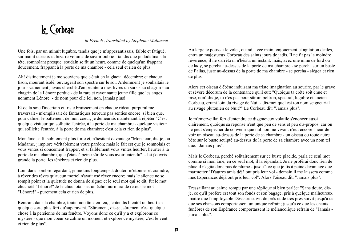# Le Corbeau

#### *in French , translated by Stephane Mallarmé*

Une fois, par un minuit lugubre, tandis que je m'appesantissais, faible et fatigué, sur maint curieux et bizarre volume de savoir oublié - tandis que je dodelinais la tête, somnolant presque: soudain se fit un heurt, comme de quelqu'un frappant doucement, frappant à la porte de ma chambre - cela seul et rien de plus.

Ah! distinctement je me souviens que c'était en la glacial décembre: et chaque tison, mourant isolé, ouvrageait son spectre sur le sol. Ardemment je souhaitais le jour - vainement j'avais cherché d'emprunter à mes livres un sursis au chagrin - au chagrin de la Lénore perdue - de la rare et rayonnante jeune fille que les anges nomment Lénore: - de nom pour elle ici, non, jamais plus!

Et de la soie l'incertain et triste bruissement en chaque rideau purpural me traversait - m'emplissait de fantastiques terreurs pas senties encore: si bien que, pour calmer le battement de mon coeur, je demeurais maintenant à répéter "C'est quelque visiteur qui sollicite l'entrée, à la porte de ma chambre - quelque visiteur qui sollicite l'entrée, à la porte de ma chambre; c'est cela et rien de plus".

Mon âme se fit subitement plus forte et, n'hésitant davantage "Monsieur, dis-je, ou Madame, j'implore véritablement votre pardon; mais le fait est que je somnolais et vous vïntes si doucement frapper, et si faiblement vous vïntes heurter, heurter à la porte de ma chambre, que j'étais à peine sûr de vous avoir entendu". - Ici j'ouvris grande la porte: les ténèbres et rien de plus.

Loin dans l'ombre regardant, je me tins longtemps à douter, m'étonner et craindre, à rêver des rêves qu'aucun mortel n'avait osé rêver encore; mais le silence ne se rompit point et la quiétude ne donna de signe: et le seul mot qui se dit, fut le mot chuchoté "Lénore!" Je le chuchotai - et un écho murmura de retour le mot "Lénore!" - purement cela et rien de plus.

Rentrant dans la chambre, toute mon âme en feu, j'entendis bientôt un heurt en quelque sorte plus fort qu'auparavant. "Sûrement, dis-je, sûrement c'est quelque chose à la persienne de ma fenêtre. Voyons donc ce qu'il y a et explorons ce mystère - que mon coeur se calme un moment et explore ce mystère; c'est le vent et rien de plus".

Au large je poussai le volet, quand, avec maint enjouement et agitation d'ailes, entra un majestueux Corbeau des saints jours de jadis. Il ne fit pas la moindre réverénce, il ne s'arrêta ni n'hésita un instant: mais, avec une mine de lord ou de lady, se percha au-dessus de la porte de ma chambre - se percha sur un buste de Pallas, juste au-dessus de la porte de ma chambre - se percha - siégea et rien de plus.

Alors cet oiseau d'ébène induisant ma triste imagination au sourire, par le grave et sévère décorum de la contenance qu'il eut: "Quoique ta crête soit chue et rase, non! dis-je, tu n'es pas pour sûr un poltron, spectral, lugubre et ancien Corbeau, errant loin du rivage de Nuit - dis-moi quel est ton nom seigneurial au rivage plutonien de Nuit?" Le Corbeau dit: "Jamais plus".

Je m'émerveillai fort d'entendre ce disgracieux volatile s'énoncer aussi clairement, quoique sa réponse n'eût que peu de sens et peu d'à-propos; car on ne peut s'empêcher de convenir que nul homme vivant n'eut encore l'heur de voir un oiseau au-dessus de la porte de sa chambre - un oiseau ou toute autre bête sur le buste sculpté au-dessus de la porte de sa chambre avec un nom tel que: "Jamais plus".

Mais le Corbeau, perché solitairement sur ce buste placide, parla ce seul mot comme si mon âme, en ce seul mot, il la répandait. Je ne proférai donc rien de plus: il n'agita donc pas de plume - jusqu'à ce que je fis à peine davantage que marmotter "D'autres amis déjà ont pris leur vol - demain il me laissera comme mes Espérances déjà ont pris leur vol". Alors l'oiseau dit: "Jamais plus".

Tressaillant au calme rompu par une réplique si bien parlée: "Sans doute, disje, ce qu'il profère est tout son fonds et son bagage, pris à quelque malheureux maïtre que l'impitoyable Désastre suivit de près et de très près suivit jusqu'à ce que ses chansons comportassent un unique refrain; jusqu'à ce que les chants funèbres de son Espérance comportassent le mélancolique refrain de "Jamais jamais plus".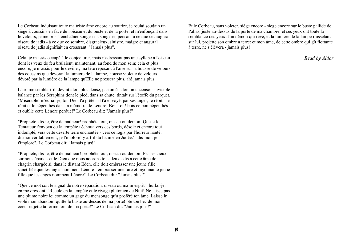Le Corbeau induisant toute ma triste âme encore au sourire, je roulai soudain un siège à coussins en face de l'oiseau et du buste et de la porte; et m'enfonçant dans le velours, je me pris à enchaïner songerie à songerie, pensant à ce que cet augural oiseau de jadis - à ce que ce sombre, disgracieux, sinistre, maigre et augural oiseau de jadis signifiait en croassant: "Jamais plus".

Cela, je m'assis occupé à le conjecturer, mais n'adressant pas une syllabe à l'oiseau dont les yeux de feu brûlaient, maintenant, au fond de mon sein; cela et plus encore, je m'assis pour le deviner, ma tête reposant à l'aise sur la housse de velours des coussins que dévorait la lumière de la lampe, housse violette de velours dévoré par la lumière de la lampe qu'Elle ne pressera plus, ah! jamais plus.

L'air, me sembla-t-il, devint alors plus dense, parfumé selon un encensoir invisible balancé par les Séraphins dont le pied, dans sa chute, tintait sur l'étoffe du parquet. "Misérable! m'écriai-je, ton Dieu t'a prêté - il t'a envoyé, par ses anges, le répit - le répit et le népenthès dans ta mémoire de Lénore! Bois! oh! bois ce bon népenthès et oublie cette Lénore perdue!" Le Corbeau dit: "Jamais plus!"

"Prophète, dis-je, être de malheur! prophète, oui, oiseau ou démon! Que si le Tentateur t'envoya ou la tempête t'échoua vers ces bords, désolé et encore tout indompté, vers cette déserte terre enchantée - vers ce logis par l'horreur hanté: dismoi véritablement, je t'implore! y a-t-il du baume en Judée? - dis-moi, je t'implore". Le Corbeau dit: "Jamais plus!"

"Prophète, dis-je, être de malheur! prophète, oui, oiseau ou démon! Par les cieux sur nous épars, - et le Dieu que nous adorons tous deux - dis à cette âme de chagrin chargée si, dans le distant Eden, elle doit embrasser une jeune fille sanctifiée que les anges nomment Lénore - embrasser une rare et rayonnante jeune fille que les anges nomment Lénore". Le Corbeau dit: "Jamais plus!"

"Que ce mot soit le signal de notre séparation, oiseau ou malin esprit", hurlai-je, en me dressant. "Recule en la tempête et le rivage plutonien de Nuit! Ne laisse pas une plume noire ici comme un gage du mensonge qu'a proféré ton âme. Laisse in violé mon abandon! quitte le buste au-dessus de ma porte! ôte ton bec de mon coeur et jette ta forme loin de ma porte!" Le Corbeau dit: "Jamais plus!"

Et le Corbeau, sans voleter, siège encore - siège encore sur le buste pallide de Pallas, juste au-dessus de la porte de ma chambre, et ses yeux ont toute la semblance des yeux d'un démon qui rêve, et la lumière de la lampe ruisselant sur lui, projette son ombre à terre: et mon âme, de cette ombre qui gït flottante à terre, ne s'élèvera - jamais plus!

*Read by Aldor*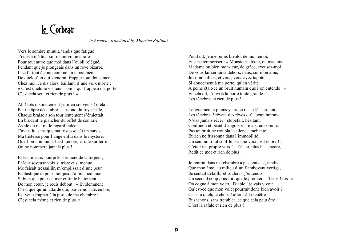# Le Corbeau

*in French , translated by Maurice Rollinat* 

Vers le sombre minuit, tandis que fatigué J'étais à méditer sur maint volume rare Pour tout autre que moi dans l'oubli relégué, Pendant que je plongeais dans un rêve bizarre, Il se fit tout à coup comme un tapotement De quelqu'un qui viendrait frapper tout doucement Chez moi. Je dis alors, bâillant, d'une voix morte : « C'est quelque visiteur – oui – qui frappe à ma porte : C'est cela seul et rien de plus ! »

Ah ! très distinctement je m'en souviens ! c'était Par un âpre décembre – au fond du foyer pâle, Chaque braise à son tour lentement s'émiettait, En brodant le plancher du reflet de son râle. Avide du matin, le regard indécis, J'avais lu, sans que ma tristesse eût un sursis, Ma tristesse pour l'ange enfui dans le mystère, Que l'on nomme là-haut Lenore, et que sur terre On ne nommera jamais plus !

Et les rideaux pourprés sortaient de la torpeur, Et leur soyeuse voix si triste et si menue Me faisait tressaillir, m'emplissait d'une peur Fantastique et pour moi jusqu'alors inconnue : Si bien que pour calmer enfin le battement De mon cœur, je redis debout : « Évidemment C'est quelqu'un attardé qui, par ce noir décembre, Est venu frapper à la porte de ma chambre ; C'est cela même et rien de plus. »

Pourtant, je me remis bientôt de mon émoi, Et sans temporiser : « Monsieur, dis-je, ou madame, Madame ou bien monsieur, de grâce, excusez-moi De vous laisser ainsi dehors, mais, sur mon âme, Je sommeillais, et vous, vous avez tapoté Si doucement à ma porte, qu'en vérité À peine était-ce un bruit humain que l'on entende ! » Et cela dit, j'ouvris la porte toute grande : Les ténèbres et rien de plus !

Longuement à pleins yeux, je restai là, scrutant Les ténèbres ! rêvant des rêves qu' aucun homme N'osa jamais rêver ! stupéfait, hésitant, Confondu et béant d'angoisse – mais, en somme, Pas un bruit ne troubla le silence enchanté Et rien ne frissonna dans l'immobilité ; Un seul nom fut soufflé par une voix : « Lenore ! » C'était ma propre voix ! – l'écho, plus bas encore, Redit ce mot et rien de plus !

Je rentrai dans ma chambre à pas lents, et, tandis Que mon âme, au milieu d'un flamboyant vertige, Se sentait défaillir et rouler, – j'entendis Un second coup plus fort que le premier. – Tiens ! dis-je, On cogne à mon volet ! Diable ! je vais y voir ! Qu'est-ce que mon volet pourrait donc bien avoir ? Car il a quelque chose ! allons à la fenêtre Et sachons, sans trembler, ce que cela peut être ! C'est la rafale et rien de plus !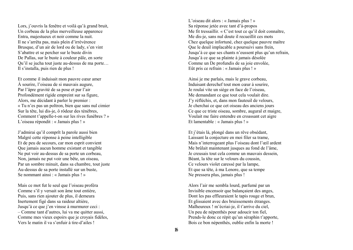Lors, j'ouvris la fenêtre et voilà qu'à grand bruit, Un corbeau de la plus merveilleuse apparence Entra, majestueux et noir comme la nuit. Il ne s'arrêta pas, mais plein d'irrévérence Brusque, d'un air de lord ou de lady, s'en vint S'abattre et se percher sur le buste divin De Pallas, sur le buste à couleur pâle, en sorte Qu'il se jucha tout juste au-dessus de ma porte… Il s'installa, puis rien de plus !

Et comme il induisait mon pauvre cœur amer À sourire, l'oiseau de si mauvais augure, Par l'âpre gravité de sa pose et par l'air Profondément rigide empreint sur sa figure, Alors, me décidant à parler le premier : « Tu n'es pas un poltron, bien que sans nul cimier Sur la tête, lui dis-je, ô rôdeur des ténèbres, Comment t'appelle-t-on sur les rives funèbres ? » L'oiseau répondit : « Jamais plus ! »

J'admirai qu'il comprît la parole aussi bien Malgré cette réponse à peine intelligible Et de peu de secours, car mon esprit convient Que jamais aucun homme existant et tangible Ne put voir au-dessus de sa porte un corbeau, Non, jamais ne put voir une bête, un oiseau, Par un sombre minuit, dans sa chambre, tout juste Au-dessus de sa porte installé sur un buste, Se nommant ainsi : « Jamais plus ! »

Mais ce mot fut le seul que l'oiseau proféra Comme s'il y versait son âme tout entière, Puis, sans rien ajouter de plus, il demeura Inertement figé dans sa raideur altière, Jusqu'à ce que j'en vinsse à murmurer ceci : – Comme tant d'autres, lui va me quitter aussi, Comme mes vieux espoirs que je croyais fidèles, Vers le matin il va s'enfuir à tire-d'ailes !

L'oiseau dit alors : « Jamais plus ! » Sa réponse jetée avec tant d'à-propos Me fit tressaillir. « C'est tout ce qu'il doit connaître, Me dis-je, sans nul doute il recueillit ces mots Chez quelque infortuné, chez quelque pauvre maître Que le deuil implacable a poursuivi sans frein, Jusqu'à ce que ses chants n'eussent plus qu'un refrain, Jusqu'à ce que sa plainte à jamais désolée Comme un De profundis de sa joie envolée, Eût pris ce refrain : « Jamais plus ! »

Ainsi je me parlais, mais le grave corbeau, Induisant derechef tout mon cœur à sourire, Je roulai vite un siège en face de l'oiseau, Me demandant ce que tout cela voulait dire. J'y réfléchis, et, dans mon fauteuil de velours, Je cherchai ce que cet oiseau des anciens jours Ce que ce triste oiseau, sombre, augural et maigre, Voulait me faire entendre en croassant cet aigre Et lamentable : « Jamais plus ! »

Et j'étais là, plongé dans un rêve obsédant, Laissant la conjecture en moi filer sa trame, Mais n'interrogeant plus l'oiseau dont l'œil ardent Me brûlait maintenant jusques au fond de l'âme, Je creusais tout cela comme un mauvais dessein, Béant, la tête sur le velours du coussin, Ce velours violet caressé par la lampe, Et que sa tête, à ma Lenore, que sa tempe Ne pressera plus, jamais plus !

Alors l'air me sembla lourd, parfumé par un Invisible encensoir que balançaient des anges, Dont les pas effleuraient le tapis rouge et brun, Et glissaient avec des bruissements étranges. Malheureux ! m'écriai-je, il t'arrive du ciel, Un peu de népenthès pour adoucir ton fiel, Prends-le donc ce répit qu'un séraphin t'apporte, Bois ce bon népenthès, oublie enfin la morte !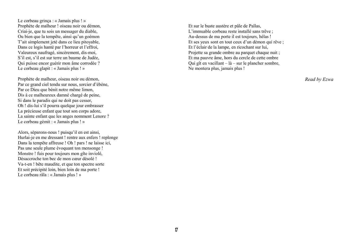Le corbeau grinça : « Jamais plus ! » Prophète de malheur ! oiseau noir ou démon, Criai-je, que tu sois un messager du diable, Ou bien que la tempête, ainsi qu'un goémon T'ait simplement jeté dans ce lieu pitoyable, Dans ce logis hanté par l'horreur et l'effroi, Valeureux naufragé, sincèrement, dis-moi, S'il est, s'il est sur terre un baume de Judée, Qui puisse encor guérir mon âme corrodée ? Le corbeau glapit : « Jamais plus ! »

Prophète de malheur, oiseau noir ou démon, Par ce grand ciel tendu sur nous, sorcier d'ébène, Par ce Dieu que bénit notre même limon, Dis à ce malheureux damné chargé de peine, Si dans le paradis qui ne doit pas cesser, Oh ! dis-lui s'il pourra quelque jour embrasser La précieuse enfant que tout son corps adore, La sainte enfant que les anges nomment Lenore ? Le corbeau gémit : « Jamais plus ! »

Alors, séparons-nous ! puisqu'il en est ainsi, Hurlai-je en me dressant ! rentre aux enfers ! replonge Dans la tempête affreuse ! Oh ! pars ! ne laisse ici, Pas une seule plume évoquant ton mensonge ! Monstre ! fuis pour toujours mon gîte inviolé, Désaccroche ton bec de mon cœur désolé ! Va-t-en ! bête maudite, et que ton spectre sorte Et soit précipité loin, bien loin de ma porte ! Le corbeau râla : « Jamais plus ! »

Et sur le buste austère et pâle de Pallas, L'immuable corbeau reste installé sans trêve ; Au-dessus de ma porte il est toujours, hélas ! Et ses yeux sont en tout ceux d'un démon qui rêve ; Et l'éclair de la lampe, en ricochant sur lui, Projette sa grande ombre au parquet chaque nuit ; Et ma pauvre âme, hors du cercle de cette ombre Qui gît en vacillant – là – sur le plancher sombre, Ne montera plus, jamais plus !

*Read by Ezwa*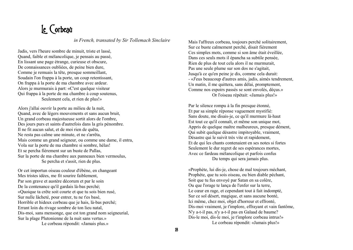#### Le Corbeau

*in French, transated by Sir Tollemach Sinclaire*

Jadis, vers l'heure sombre de minuit, triste et lassé, Quand, faible et mélancolique, je pensais au passé, En lissant une page étrange, curieuse et obscure, De connaissances oubliées, de peine bien dure, Comme je remuais la tête, presque sommeillant, Soudain l'on frappa à la porte, un coup retentissant, On frappa à la porte de ma chambre avec ardeur. Alors je murmurais à part: «C'est quelque visiteur Qui frappa à la porte de ma chambre à coup soutenus, Seulement cela, et rien de plus!»

Alors j'allai ouvrir la porte au milieu de la nuit, Quand, avec de légers mouvements et sans aucun bruit, Un grand corbeau majestueuse sortit alors de l'ombre, Des jours purs et saints d'autrefois dans la gris pénombre. Il ne fit aucun salut, et de moi rien de quêta, Ne resta pas calme une minute, et ne s'arrêta, Mais comme un grand seigneur, ou comme une dame, il entra, Vola sur la porte de ma chambre si sombre, hélas! Et se percha fièrement sur un buste de Pallas, Sur la porte de ma chambre aux panneaux bien vermoulus, Se percha et s'assit, rien de plus.

Or cet importun oiseau couleur d'ébène, en changeant Mes tristes idées, me fit sourire faiblement, Par son grave et austère décorum et par le soin De la contenance qu'il gardais là-bas perché; «Quoique ta crête soit courte et que tu sois bien rusé, Sur nulle lâcheté, pour entrer, tu ne t'es basé, Horrible et hideux corbeau que je hais, là-bas perché; Errant loin du rivage sombre de ton lieu natal, Dis-moi, sans mensonge, que est ton grand nom seigneurial, Sur la plage Plutonienne de la nuit sans vertus.» Le corbeau répondit: «Jamais plus.»

Mais l'affreux corbeau, toujours perché solitairement, Sur ce buste calmement perché, disait fièrement Ces simples mots, comme si son âme était éveillée, Dans ces seuls mots il épancha sa subtile pensée, Rien de plus de tout cela alors il ne murmurait, Pas une seule plume sur son dos ne s'agitait, Jusqu'à ce qu'en peine je dis, comme cela durait: - «J'eus beaucoup d'autres amis, jadis, aimés tendrement, Un matin, il me quittera, sans délai, promptement, Comme nos espoirs passés se sont envolés, déçus.» Or l'oiseau répétait: «Jamais plus!»

Par le silence rompu à la fin presque étonné, Et par sa simple réponse vaguement mystifié: Sans doute, me disais-je, ce qu'il murmure là-haut Est tout ce qu'il connaît, et même son unique mot, Appris de quelque maître malheureux, presque dément, Qui subit quelque désastre impitoyable, vraiment, Désastre qui le suivit très vite et rapidement, Et de qui les chants contenaient en ses notes si fortes Seulement le dur regret de ses espérances mortes, Avec ce fardeau mélancolique et parfois confus Du temps qui sera jamais plus.

«Prophète, lui dis-je, chose de mal toujours méchant, Prophète, que tu sois oiseau, ou bien diable péchant, Soit que tu fus envoyé par Satan en sa colère, Ou que l'orage te lança de l'enfer sur la terre, Le cœur en rage, et cependant tout à fait indompté, Sur ce sol désert, magique, et sans aucune bonté, Ici même, chez moi, objet d'horreur et effronté, Dis-moi vraiment, je t'implore, effrayant et vain fantôme, N'y a-t-il pas, n'y a-t-il pas en Galaad de baume? Dis-le moi, dis-le moi, je t'implore corbeau intrus!» Le corbeau répondit: «Jamais plus!»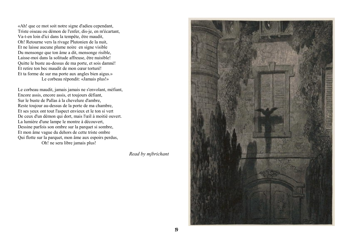«Ah! que ce mot soit notre signe d'adieu cependant, Triste oiseau ou démon de l'enfer, dis-je, en m'écartant, Va-t-en loin d'ici dans la tempête, être maudit, Oh! Retourne vers la rivage Plutonien de la nuit, Et ne laisse aucune plume noire en signe visible Du mensonge que ton âme a dit, mensonge risible, Laisse-moi dans la solitude affreuse, être nuisible! Quitte le buste au-dessus de ma porte, et sois damné! Et retire ton bec maudit de mon cœur torturé! Et ta forme de sur ma porte aux angles bien aigus.» Le corbeau répondit: «Jamais plus!»

Le corbeau maudit, jamais jamais ne s'envolant, méfiant, Encore assis, encore assis, et toujours défiant, Sur le buste de Pallas à la chevelure d'ambre, Reste toujour au-dessus de la porte de ma chambre, Et ses yeux ont tout l'aspect envieux et le ton si vert De ceux d'un démon qui dort, mais l'œil à moitié ouvert. La lumière d'une lampe le montre à découvert, Dessine parfois son ombre sur la parquet si sombre, Et mon âme vague du dehors de cette triste ombre Qui flotte sur la parquet, mon âme aux espoirs perdus, Oh! ne sera libre jamais plus!

*Read by mjbrichant* 

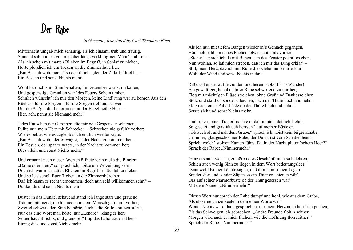# Der Rabe

*in German , translated by Carl Theodore Eben*

Mitternacht umgab mich schaurig, als ich einsam, trüb und traurig, Sinnend saß und las von mancher längstverklung'nen Mähr' und Lehr' – Als ich schon mit matten Blicken im Begriff, in Schlaf zu nicken, Hörte plötzlich ich ein Ticken an die Zimmerthüre her; "Ein Besuch wohl noch," so dacht' ich, "den der Zufall führet her – Ein Besuch und sonst Nichts mehr."

Wohl hab' ich's im Sinn behalten, im Dezember war's, im kalten, Und gespenstige Gestalten warf des Feuers Schein umher. Sehnlich wünscht' ich mir den Morgen, keine Lind'rung war zu borgen Aus den Büchern für die Sorgen – für die Sorgen tief und schwer Um die Sel'ge, die Lenoren nennt der Engel heilig Heer – Hier, ach, nennt sie Niemand mehr!

Jedes Rauschen der Gardinen, die mir wie Gespenster schienen, Füllte nun mein Herz mit Schrecken – Schrecken nie gefühlt vorher; Wie es bebte, wie es zagte, bis ich endlich wieder sagte: "Ein Besuch wohl, der es wagte, in der Nacht zu kommen her – Ein Besuch, der spät es wagte, in der Nacht zu kommen her; Dies allein und sonst Nichts mehr."

Und ermannt nach diesen Worten öffnete ich stracks die Pforten: "Dame oder Herr," so sprach ich, "bitte um Verzeihung sehr! Doch ich war mit matten Blicken im Begriff, in Schlaf zu nicken, Und so leis scholl Euer Ticken an die Zimmerthüre her, Daß ich kaum es recht vernommen; doch nun seid willkommen sehr!" – Dunkel da und sonst Nichts mehr.

Düster in das Dunkel schauend stand ich lange starr und grauend, Träume träumend, die hienieden nie ein Mensch geträumt vorher; Zweifel schwarz den Sinn bethörte, Nichts die Stille draußen störte, Nur das eine Wort man hörte, nur "Lenore?" klang es her; Selber haucht' ich's, und "Lenore!" trug das Echo trauernd her – Einzig dies und sonst Nichts mehr.

Als ich nun mit tiefem Bangen wieder in's Gemach gegangen, Hört' ich bald ein neues Pochen, etwas lauter als vorher. "Sicher," sprach ich da mit Beben, "an das Fenster pocht' es eben, Nun wohlan, so laß mich streben, daß ich mir das Ding erklär' – Still, mein Herz, daß ich mit Ruhe dies Geheimniß mir erklär' Wohl der Wind und sonst Nichts mehr"

Riß das Fenster auf jetzunder, und herein stolzirt' – o Wunder! Ein gewalt'ger, hochbejahrter Rabe schwirrend zu mir her; Flog mit mächt'gen Flügelstreichen, ohne Gruß und Dankeszeichen, Stolz und stattlich sonder Gleichen, nach der Thüre hoch und hehr – Flog nach einer Pallasbüste ob der Thüre hoch und hehr – Setzte sich und sonst Nichts mehr.

Und trotz meiner Trauer brachte er dahin mich, daß ich lachte, So gesetzt und gravitätisch herrscht' auf meiner Büste er. "Ob auch alt und nah dem Grabe," sprach ich, "bist kein feiger Knabe, Grimmer, glattgeschor'ner Rabe, der Du kamst vom Schattenheer – Sprich, welch' stolzen Namen führst Du in der Nacht pluton'schem Heer?" Sprach der Rabe: "Nimmermehr."

Ganz erstaunt war ich, zu hören dies Geschöpf mich so belehren, Schien auch wenig Sinn zu liegen in dem Wort bedeutungsleer; Denn wohl Keiner könnte sagen, daß ihm je in seinen Tagen Sonder Zier und sonder Zügen so ein Thier erschienen wär', Das auf seiner Marmorbüste ob der Thür gesessen wär' Mit dem Namen "Nimmermehr."

Dieses Wort nur sprach der Rabe dumpf und hohl, wie aus dem Grabe, Als ob seine ganze Seele in dem einen Worte wär'. Weiter Nichts ward dann gesprochen, nur mein Herz noch hört' ich pochen, Bis das Schweigen ich gebrochen: "Andre Freunde floh'n seither – Morgen wird auch er mich fliehen, wie die Hoffnung floh seither." Sprach der Rabe: "Nimmermehr!"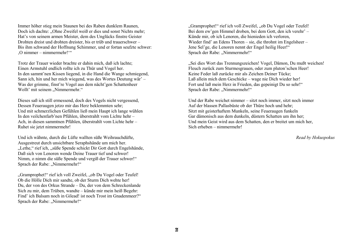Immer höher stieg mein Staunen bei des Raben dunklem Raunen, Doch ich dachte: "Ohne Zweifel weiß er dies und sonst Nichts mehr; Hat's von seinem armen Meister, dem des Unglücks finstre Geister Drohten dreist und drohten dreister, bis er trüb und trauerschwer – Bis ihm schwand der Hoffnung Schimmer, und er fortan seufzte schwer: 'O nimmer – nimmermehr!'"

Trotz der Trauer wieder brachte er dahin mich, daß ich lachte; Einen Armstuhl endlich rollte ich zu Thür und Vogel her. In den sammt'nen Kissen liegend, in die Hand die Wange schmiegend, Sann ich, hin und her mich wiegend, was des Wortes Deutung wär' – Was der grimme, finst're Vogel aus dem nächt'gen Schattenheer Wollt' mit seinem "Nimmermehr."

Dieses saß ich still ermessend, doch des Vogels nicht vergessend, Dessen Feueraugen jetzo mir das Herz beklemmten sehr; Und mit schmerzlichen Gefühlen ließ mein Haupt ich lange wühlen In den veilchenfarb'nen Pfühlen, überstrahlt vom Lichte hehr – Ach, in diesen sammtnen Pfühlen, überstrahlt vom Lichte hehr – Ruhet sie jetzt nimmermehr!

Und ich wähnte, durch die Lüfte wallten süße Weihrauchdüfte, Ausgestreut durch unsichtbare Seraphshände um mich her. "Lethe," rief ich, "süße Spende schickt Dir Gott durch Engelshände, Daß sich von Lenoren wende Deine Trauer tief und schwer! Nimm, o nimm die süße Spende und vergiß der Trauer schwer!" Sprach der Rabe: "Nimmermehr!"

"Gramprophet!" rief ich voll Zweifel, "ob Du Vogel oder Teufel! Ob die Hölle Dich mir sandte, ob der Sturm Dich wehte her! Du, der von des Orkus Strande – Du, der von dem Schreckenlande Sich zu mir, dem Trüben, wandte – künde mir mein heiß Begehr: Find' ich Balsam noch in Gilead! ist noch Trost im Gnadenmeer?" Sprach der Rabe: "Nimmermehr!"

"Gramprophet!" rief ich voll Zweifel, "ob Du Vogel oder Teufel! Bei dem ew'gen Himmel droben, bei dem Gott, den ich verehr' – Künde mir, ob ich Lenoren, die hienieden ich verloren, Wieder find' an Edens Thoren – sie, die throhnt im Engelsheer – Jene Sel'ge, die Lenoren nennt der Engel heilig Heer!" Sprach der Rabe: "Nimmermehr!"

"Sei dies Wort das Trennungszeichen! Vogel, Dämon, Du mußt weichen! Fleuch zurück zum Sturmesgrauen, oder zum pluton'schen Heer! Keine Feder laß zurücke mir als Zeichen Deiner Tücke; Laß allein mich dem Geschicke – wage nie Dich wieder her! Fort und laß mein Herz in Frieden, das gepeinigt Du so sehr!" Sprach der Rabe: "Nimmermehr!"

Und der Rabe weichet nimmer – sitzt noch immer, sitzt noch immer Auf der blassen Pallasbüste ob der Thüre hoch und hehr; Sitzt mit geisterhaftem Munkeln, seine Feueraugen funkeln Gar dämonisch aus dem dunkeln, düstern Schatten um ihn her; Und mein Geist wird aus dem Schatten, den er breitet um mich her, Sich erheben – nimmermehr!

*Read by Hokuspokus*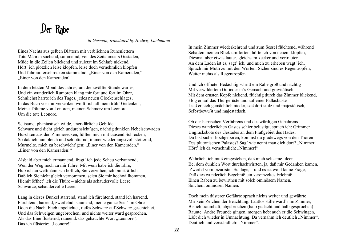# Der Rabe

*in German, translated by Hedwig Lachmann*

Eines Nachts aus gelben Blättern mit verblichnen Runenlettern Tote Mähren suchend, sammelnd, von des Zeitenmeers Gestaden, Müde in die Zeilen blickend und zuletzt im Schlafe nickend, Hört' ich plötzlich leise klopfen, leise doch vernehmlich klopfen Und fuhr auf erschrocken stammelnd: "Einer von den Kameraden," "Einer von den Kameraden!"

In dem letzten Mond des Jahres, um die zwölfte Stunde war es, Und ein wunderlich Rumoren klang mir fort und fort im Ohre, Sehnlichst harrte ich des Tages, jedes neuen Glockenschlages, In das Buch vor mir versenken wollt' ich all mein trüb' Gedenken, Meine Träume von Lenoren, meinen Schmerz um Leonore, Um die tote Leonore.

Seltsame, phantastisch wilde, unerklärliche Gebilde, Schwarz und dicht gleich undurchsicht'gen, nächtig dunklen Nebelschwaden Huschten aus den Zimmerecken, füllten mich mit tausend Schrecken, So daß ich nun bleich und schlotternd, immer wieder angstvoll stotternd, Murmelte, mich zu beschwicht'gen: "Einer von den Kameraden," "Einer von den Kameraden!"

Alsbald aber mich ermannend, fragt' ich jede Scheu verbannend, Wen der Weg noch zu mir führe: Mit wem habe ich die Ehre, Hub ich an weltmännisch höflich, Sie verzeihen, ich bin sträflich, Daß ich Sie nicht gleich vernommen, seien Sie mir hochwillkommen, Hiemit öffnet' ich die Thüre – nichts als schaudervolle Leere, Schwarze, schaudervolle Leere.

Lang in dieses Dunkel starrend, stand ich fürchtend, stand ich harrend, Fürchtend, harrend, zweifelnd, staunend, meine ganze Seel' im Ohre – Doch die Nacht blieb ungelichtet, tiefes Schwarz auf Schwarz geschichtet, Und das Schweigen ungebrochen, und nichts weiter ward gesprochen, Als das Eine flüsternd, raunend: das gehauchte Wort "Leonore", Das ich flüsterte: "Leonore!"

In mein Zimmer wiederkehrend und zum Sessel flüchtend, während Schatten meinen Blick umflorten, hörte ich von neuem klopfen, Diesmal aber etwas lauter, gleichsam kecker und vertrauter. An dem Laden ist es, sagt' ich, und mich zu erheben wagt' ich, Sprach mir Muth zu mit den Worten: Sicher sind es Regentropfen, Weiter nichts als Regentropfen.

Und ich öffnete: Bedächtig schritt ein Rabe groß und nächtig Mit verwildertem Gefieder in's Gemach und gravitätisch Mit dem ernsten Kopfe nickend, flüchtig durch das Zimmer blickend, Flog er auf das Thürgerüste und auf einer Pallasbüste Ließ er sich gemächlich nieder, saß dort stolz und majestätisch, Selbstbewußt und majestätisch.

Ob der herrischen Verfahrens und des würdigen Gebahrens Dieses wunderlichen Gastes schier belustigt, sprach ich: Grimmer Unglücksbote des Gestades an dem Flußgebiet des Hades, Du bist sicher hochgeboren, kommst du gradewegs von den Thoren Des plutonischen Palastes? Sag' wie nennt man dich dort? "Nimmer" Hört' ich da vernehmlich: "Nimmer!"

Wahrlich, ich muß eingestehen, daß mich seltsame Ideen Bei dem dunklen Wort durchschwirrten, ja, daß mir Gedanken kamen, Zweifel vom bizarrsten Schlage, – und es ist wohl keine Frage, Daß dies wunderlich Begebniß ein vereinzeltes Erlebniß: Einen Raben zu bewirthen mit solch ominösem Namen, Solchem ominösen Namen.

Doch mein düsterer Gefährte sprach nichts weiter und gewährte Mir kein Zeichen der Beachtung. Lautlos stille ward's im Zimmer, Bis ich traumhaft, abgebrochen (halb gedacht und halb gesprochen) Raunte: Andre Freunde gingen, morgen hebt auch er die Schwingen, Läßt dich wieder in Umnachtung. Da vernahm ich deutlich "Nimmer", Deutlich und verständlich: "Nimmer".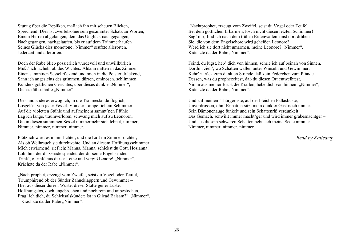Stutzig über die Repliken, maß ich ihn mit scheuen Blicken, Sprechend: Dies ist zweifelsohne sein gesammter Schatz an Worten, Einem Herren abgefangen, dem das Unglück nachgegangen, Nachgegangen, nachgelaufen, bis er auf dem Trümmerhaufen Seines Glücks dies monotone "Nimmer" seufzte allerorten. Jederzeit und allerorten.

Doch der Rabe blieb possierlich würdevoll und unwillkürlich Mußt' ich lächeln ob des Wichtes: Aldann mitten in das Zimmer Einen sammtnen Sessel rückend und mich in die Polster drückend, Sann ich angesichts des grimmen, dürren, ominösen, schlimmen Künders göttlichen Gerichtes, über dieses dunkle "Nimmer", Dieses räthselhafte "Nimmer".

Dies und anderes erwog ich, in die Traumeslande flog ich, Losgelöst von jeder Fessel. Von der Lampe fiel ein Schimmer Auf die violetten Stühle und auf meinem sammt'nen Pfühle Lag ich lange, traumverloren, schwang mich auf zu Leonoren, Die in diesen sammtnen Sessel nimmermehr sich lehnet, nimmer, Nimmer, nimmer, nimmer, nimmer.

Plötzlich ward es in mir lichter, und die Luft im Zimmer dichter, Als ob Weihrauch sie durchwehte. Und an diesem Hoffnungsschimmer Mich erwärmend, rief ich: Manna, Manna, schickst du Gott, Hosianna! Lob ihm, der dir Gnade spendet, der dir seine Engel sendet, Trink', o trink' aus dieser Lethe und vergiß Lenore! "Nimmer", Krächzte da der Rabe "Nimmer".

"Nachtprophet, erzeugt vom Zweifel, seist du Vogel oder Teufel, Triumphirend ob der Sünder Zähneklappern und Gewimmer – Hier aus dieser dürren Wüste, dieser Stätte geiler Lüste, Hoffnungslos, doch ungebrochen und noch rein und unbestochen, Frag' ich dich, du Schicksalskünder: Ist in Gilead Balsam?" "Nimmer", Krächzte da der Rabe "Nimmer".

"Nachtprophet, erzeugt vom Zweifel, seist du Vogel oder Teufel, Bei dem göttlichen Erbarmen, lösch nicht diesen letzten Schimmer! Sag' mir, find ich nach dem trüben Erdenwallen einst dort drüben Sie, die von dem Engelschore wird geheißen Leonore? Werd ich sie dort nicht umarmen, meine Leonore? "Nimmer", Krächzte da der Rabe "Nimmer".

Feind, du lügst, heb' dich von hinnen, schrie ich auf beinah von Sinnen, Dorthin zieh', wo Schatten wallen unter Winseln und Gewimmer, Kehr' zurück zum dunklen Strande, laß kein Federchen zum Pfande Dessen, was du prophezeitest, daß du diesen Ort entweihtest, Nimm aus meiner Brust die Krallen, hebe dich von hinnen! "Nimmer", Krächzte da der Rabe "Nimmer".

Und auf meinem Thürgerüste, auf der bleichen Pallasbüste, Unverdrossen, ohn' Ermatten sitzt mein dunkler Gast noch immer. Sein Dämonenauge funkelt und sein Schattenriß verdunkelt Das Gemach, schwillt immer mächt'ger und wird immer grabesnächtger – Und aus diesem schweren Schatten hebt sich meine Seele nimmer – Nimmer, nimmer, nimmer, nimmer. –

*Read by Katieamp*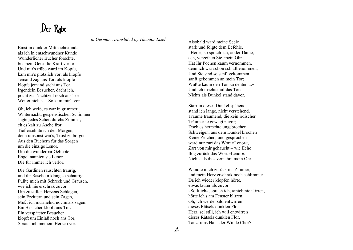#### Der Rabe

*in German , translated by Theodor Etzel* 

Einst in dunkler Mittnachtstunde, als ich in entschwundner Kunde Wunderlicher Bücher forschte, bis mein Geist die Kraft verlor Und mir's trübe ward im Kopfe, kam mir's plötzlich vor, als klopfe Jemand zag ans Tor, als klopfe – klopfe jemand sacht ans Tor. Irgendein Besucher, dacht ich, pocht zur Nachtzeit noch ans Tor – Weiter nichts. – So kam mir's vor.

Oh, ich weiß, es war in grimmer Winternacht, gespenstischen Schimmer Jagte jedes Scheit durchs Zimmer, eh es kalt zu Asche fror. Tief ersehnte ich den Morgen, denn umsonst war's, Trost zu borgen Aus den Büchern für das Sorgen um die einzige Lenor, Um die wunderbar Geliebte – Engel nannten sie Lenor –, Die für immer ich verlor.

Die Gardinen rauschten traurig, und ihr Rascheln klang so schaurig, Füllte mich mit Schreck und Grausen, wie ich nie erschrak zuvor. Um zu stillen Herzens Schlagen, sein Erzittern und sein Zagen, Mußt ich murmelnd nochmals sagen: Ein Besucher klopft ans Tor. – Ein verspäteter Besucher klopft um Einlaß noch ans Tor, Sprach ich meinem Herzen vor.

Alsobald ward meine Seele stark und folgte dem Befehle. »Herr«, so sprach ich, »oder Dame, ach, verzeihen Sie, mein Ohr Hat Ihr Pochen kaum vernommen, denn ich war schon schlafbenommen, Und Sie sind so sanft gekommen – sanft gekommen an mein Tor; Wußte kaum den Ton zu deuten ...« Und ich machte auf das Tor: Nichts als Dunkel stand davor.

Starr in dieses Dunkel spähend, stand ich lange, nicht verstehend, Träume träumend, die kein irdischer Träumer je gewagt zuvor; Doch es herrschte ungebrochen Schweigen, aus dem Dunkel krochen Keine Zeichen, und gesprochen ward nur zart das Wort »Lenor«, Zart von mir gehaucht – wie Echo flog zurück das Wort »Lenor«. Nichts als dies vernahm mein Ohr.

Wandte mich zurück ins Zimmer, und mein Herz erschrak noch schlimmer, Da ich wieder klopfen hörte, etwas lauter als zuvor. »Sollt ich«, sprach ich, »mich nicht irren, hörte ich's am Fenster klirren; Oh, ich werde bald entwirren dieses Rätsels dunklen Flor – Herz, sei still, ich will entwirren dieses Rätsels dunklen Flor. Tanzt ums Haus der Winde Chor?«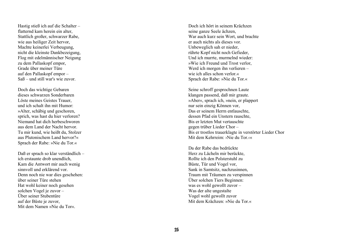Hastig stieß ich auf die Schalter – flatternd kam herein ein alter, Stattlich großer, schwarzer Rabe, wie aus heiliger Zeit hervor, Machte keinerlei Verbeugung, nicht die kleinste Dankbezeigung, Flog mit edelmännischer Neigung zu dem Pallaskopf empor, Grade über meiner Türe auf den Pallaskopf empor – Saß – und still war's wie zuvor.

Doch das wichtige Gebaren dieses schwarzen Sonderbaren Löste meines Geistes Trauer, und ich schalt ihn mit Humor: »Alter, schäbig und geschoren, sprich, was hast du hier verloren? Niemand hat dich herbeschworen aus dem Land der Nacht hervor. Tu mir kund, wie heißt du, Stolzer aus Plutonischem Land hervor?« Sprach der Rabe: »Nie du Tor.«

Daß er sprach so klar verständlich – ich erstaunte drob unendlich, Kam die Antwort mir auch wenig sinnvoll und erklärend vor. Denn noch nie war dies geschehen: über seiner Türe stehen Hat wohl keiner noch gesehen solchen Vogel je zuvor – Über seiner Stubentüre auf der Büste je zuvor, Mit dem Namen »Nie du Tor«.

Doch ich hört in seinem Krächzen seine ganze Seele ächzen, War auch kurz sein Wort, und brachte er auch nichts als dieses vor. Unbeweglich sah er nieder, rührte Kopf nicht noch Gefieder, Und ich murrte, murmelnd wieder: »Wie ich Freund und Trost verlor, Werd ich morgen ihn verlieren – wie ich alles schon verlor « Sprach der Rabe: »Nie du Tor.«

Seine schroff gesprochnen Laute klangen passend, daß mir graute. »Aber«, sprach ich, »nein, er plappert nur sein einzig Können vor, Das er seinem Herrn entlauschte, dessen Pfad ein Unstern rauschte, Bis er letzten Mut vertauschte gegen trüber Lieder Chor – Bis er trostlos trauerklagte in verstörter Lieder Chor Mit dem Kehrreim: ›Nie du Tor.‹«

Da der Rabe das bedrückte Herz zu Lächeln mir berückte, Rollte ich den Polsterstuhl zu Büste, Tür und Vogel vor, Sank in Samtsitz, nachzusinnen, Traum mit Träumen zu verspinnen Über solchen Tiers Beginnen: was es wohl gewollt zuvor – Was der alte ungestalte Vogel wohl gewollt zuvor Mit dem Krächzen: »Nie du Tor.«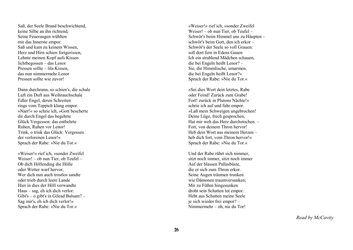Saß, der Seele Brand beschwichtend, keine Silbe an ihn richtend, Seine Feueraugen wühlten mir das Innerste empor. Saß und kam zu keinem Wissen, Herz und Hirn schien fortgerissen, Lehnte meinen Kopf aufs Kissen lichtbegossen – das Lenor Pressen sollte – lila Kissen, das nun nimmermehr Lenor Pressen sollte wie zuvor!

Dann durchrann, so schien's, die schale Luft ein Duft aus Weihrauchschale Edler Engel, deren Schreiten rings vom Teppich klang empor. »Narr!« so schrie ich, »Gott bescherte dir durch Engel das begehrte Glück Vergessen: das entbehrte Ruhen, Ruhen vor Lenor! Trink, o trink das Glück: Vergessen der verlorenen Lenor!« Sprach der Rabe: »Nie du Tor.«

»Weiser!« rief ich, »sonder Zweifel Weiser! – ob nun Tier, ob Teufel – Ob dich Höllending die Hölle oder Wetter warf hervor, Wer dich nun auch trostlos sandte oder trieb durch leere Lande Hier in dies der Höll verwandte Haus – sag, eh ich dich verlor: Gibt's – o gibt's in Gilead Balsam? – Sag mir's, eh ich dich verlor!« Sprach der Rabe: »Nie du Tor.«

»Weiser!« rief ich, »sonder Zweifel Weiser! – ob nun Tier, ob Teufel – Schwör's beim Himmel uns zu Häupten – schwör's beim Gott, den ich erkor – Schwör's der Seele so voll Grauen: soll dort fern in Edens Gauen Ich ein strahlend Mädchen schauen, die bei Engeln heißt Lenor? – Sie, die Himmlische, umarmen, die bei Engeln heißt Lenor?« Sprach der Rabe: »Nie du Tor.«

»Sei dies Wort dein letztes, Rabe oder Feind! Zurück zum Grabe! Fort! zurück in Plutons Nächte!« schrie ich auf und fuhr empor. »Laß mein Schweigen ungebrochen! Deine Lüge, frech gesprochen, Hat mir weh das Herz durchstochen. – Fort, von deinem Thron hervor! Heb dein Wort aus meinem Herzen – heb dich fort, vom Thron hervor!« Sprach der Rabe: »Nie du Tor.«

Und der Rabe rührt sich nimmer, sitzt noch immer, sitzt noch immer Auf der blassen Pallasbüste, die er sich zum Thron erkor. Seine Augen träumen trunken wie Dämonen traumversunken; Mir zu Füßen hingesunken droht sein Schatten tot empor. Hebt aus Schatten meine Seele je sich wieder frei empor? – Nimmermehr – oh, nie du Tor!

*Read by McCavity*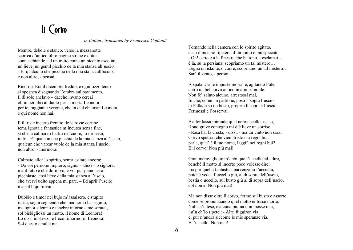# Il Corvo

*in Italian , translated by Francesco Contaldi* 

Mentre, debole e stanco, verso la mezzanotte scorrea d'antico libro pagine strane e dotte sonnecchiando, ad un tratto come un picchio ascoltai, un lieve, un gentil picchio de la mia stanza all'uscio. - E` qualcuno che picchia de la mia stanza all'uscio, e non altro, - pensai.

Ricordo. Era il dicembre freddo, e ogni tizzo lento si spegnea disegnando l'ombra sul pavimento. Il dì solo anelavo – dacchè invano cercai oblio nei libri al duolo per la morta Leonora – per te, raggiante vergine, che in ciel chiaman Leonora, e qui nome non hai.

E il triste incerto fremito de le rosse cortine tema ignota e fantastica m'incutea senza fine, sì che, a calmare i battiti del cuore, io mi levai; indi: - E` qualcun che picchia de la mia stanza all'uscio, qualcun che varcar vuole de la mia stanza l'uscio, non altro, - mormorai.

Calmato allor lo spirito, senza esitare ancora: - Da voi perdono imploro, signor – dissi – o signora; ma il fatto è che dormivo, e voi pur piano assai picchiaste, così lieve della mia stanza a l'uscio, che avervi udito appena mi pare. – Ed aprii l'uscio; ma sol bujo trovai.

Dubbio e timor nel bujo m'assalsero, e stupito restai, sogni seguendo che mai uomo ha seguito; ma ognor silenzio e tenebre intorno a me scrutai, sol bisbigliossi un motto, il nome di Leonora! Lo dissi io stesso, e l'eco rimormorò: Leonora! Sol questo e nulla mai.

Tornando nella camera con lo spirito agitato, ecco il picchio ripetersi d'un tratto e più spiccato. - Oh! certo è a la finestra che battono, - esclamai, è là, su la persiana; scopriamo un tal mistero… tregua un istante, o cuore; scopriamo un tal mistero… Sarà il vento, - pensai.

A spalancar le imposte mossi, e, agitando l'ale, entrò un bel corvo antico in aria trionfale. Non fe' saluto alcuno, arrestossi mai, finché, come un padrone, posò lì sopra l'uscio, di Pallade su un busto, proprio lì sopra a l'uscio. Fermossi e l'osservai.

E allor lassù mirando quel nero uccello assiso, il suo grave contegno mi diè lieve un sorriso. - Rasa hai la cresta, - dissi, - ma un vinto non sarai. Corvo spettral che vieni tristo dai regni bui, parla, qual' è il tuo nome, laggiù nei regni bui? E il corvo: Non più mai!

Gran meraviglia io m'ebbi quell'uccello ad udire, benché il motto sì incerto poco volesse dire; ma pur quella fantastica parvenza io l'accettai, poiché vedea l'uccello giù, al di sopra dell'uscio, bestia o uccello, sul busto giù al di sopra dell'uscio, col nome: Non più mai!

Ma non disse oltre il corvo, fermo sul busto e assorto, come se pronunziando quel motto ei fosse morto. Nulla s'intese, e alcuna piuma non mosse mai, infin ch'io ripetei: - Altri fuggiron via; ei pur n'andrà siccome le mie speranze via. E l'uccello: Non mai!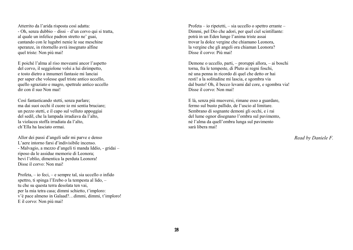Atterrito da l'arida risposta così adatta:  $-$  Oh, senza dubbio – dissi – d'un corvo qui si tratta, al quale un infelice padron stretto ne' guai, cantando con le lugubri nenie le sue meschine speranze, in ritornello avrà insegnato alfine quel triste: Non più mai!

E poiché l'alma al riso moveami ancor l'aspetto del corvo, il seggiolone volsi a lui dirimpetto, e tosto dietro a innumeri fantasie mi lanciai per saper che volesse quel triste antico uccello, quello sgraziato e magro, spettrale antico uccello dir con il suo Non mai!

Così fantasticando stetti, senza parlare; ma dai suoi occhi il cuore io mi sentia bruciare; un pezzo stetti, e il capo sul velluto appoggiai del sedil, che la lampada irradiava da l'alto, la violacea stoffa irradiata da l'alto, ch'Ella ha lasciato ormai.

Allor dei passi d'angeli udir mi parve e denso L'aere intorno farsi d'indivisibile incenso. - Malvagio, a mezzo d'angeli ti manda Iddio, - gridai – riposo da le assidue memorie di Leonora; bevi l'oblio, dimentica la perduta Leonora! Disse il corvo: Non mai!

Profeta, – io feci, – e sempre tal, sia uccello o infido spettro, ti spinga l'Erebo o la tempesta al lido, – tu che su questa terra desolata ten vai, per la mia tetra casa; dimmi schietto, t'imploro: v'è pace almeno in Galaad?…dimmi, dimmi, t'imploro! E il corvo: Non più mai!

Profeta – io ripetetti, – sia uccello o spettro errante – Dimmi, pel Dio che adori, per quel ciel scintillante: potrà in un Eden lunge l'anima triste assai trovar la dolce vergine che chiamano Leonora, la vergine che gli angeli ora chiaman Leonora? Disse il corvo: Più mai!

Demone o uccello, parti, – proruppi allora, – ai boschi torna, fra le tempeste, di Pluto ai regni foschi, né una penna in ricordo di quel che detto or hai resti! a la solitudine mi lascia, e sgombra via dal busto! Oh, il becco levami dal core, e sgombra via! Disse il corvo: Non mai!

E là, senza più muoversi, rimane esso a guardare, fermo sul busto pallido, de l'uscio al limitare. Sembrano di sognante demoni gli occhi, e i rai del lume ognor disegnano l'ombra sul pavimento, né l'alma da quell'ombra lunga sul pavimento sarà libera mai!

*Read by Daniele F.*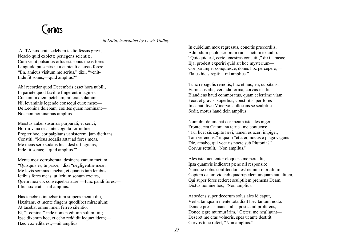#### Corvus

*in Latin, translated by Lewis Gidley* 

 ALTA nox erat; sedebam tædio fessus gravi, Nescio quid exoletæ perlegens scientiæ, Cum velut pulsantis ortus est sonus meas fores— Languido pulsantis ictu cubiculi clausas fores: "En, amicus visitum me serius," dixi, "venit-Inde fit sonus;—quid amplius?"

Ah! recordor quod Decembris esset hora nubili, In pariete quod favillæ fingerent imagines. Crastinum diem petebam; nil erat solaminis, Nil levaminis legendo consequi curæ meæ:— De Leonina dolebam, cœlites quam nominant— Nos non nominamus amplius.

Mœstus aulæi susurros purpurati, et serici, Horrui vana nec ante cognita formidine; Propter hoc, cor palpitans ut sisterem, jam dictitans Constiti, "Meus sodalis astat ad fores meas, Me meus sero sodalis hic adest efflagitans; Inde fit sonus;—quid amplius?"

Mente mox corroborata, desinens vanum metum, "Quisquis es, tu parce," dixi "negligentiæ meæ; Me levis somnus tenebat, et quantis tam lenibus Ictibus fores meas, ut irritum sonum excites, Quem mea vix consequebar aure"—tunc pandi fores:— Illic nox erat;—nil amplius.

Has tenebras intuebar tum stupens mentu diu, Hæsitans, et mente fingens quodlibet miraculum; At tacebat omne limen ferreo silentio, Et, "Leonina!" inde nomen editum solum fuit; Ipse dixeram hoc, et echo reddidit loquax idem;— Hæc vox edita est;—nil amplius.

In cubiclum mox regressus, concitis præcordiis, Admodum paulo acriorem rursus ictum exaudio. "Quicquid est, certe fenestras concutit," dixi, "meas; Eja, prodest experiri quid sit hoc mysterium— Cor parumper conquiesce, donec hoc percepero;— Flatus hic strepit;—nil amplius."

Tunc repagulis remotis, huc et huc, en, cursitans, Et micans alis, verenda forma, corvus insilit. Blandiens haud commoratus, quam celerrime viam Fecit et gravis, superbus, constitit super fores— In caput divæ Minervæ collocans se sculptile Sedit, motus haud dein amplius.

Nonnihil deliniebat cor meum iste ales niger, Fronte, ceu Catoniana tetrica me contuens: "Tu, licet sis capite lævi, tamen es acer, impiger, Tam verendus," inquam "et ater, noctis e plaga vagans— Dic, amabo, qui vocaris nocte sub Plutonia?" Corvus rettulit, "Non amplius."

Ales iste luculenter eloquens me perculit, Ipsa quamvis indicaret pæne nil responsio; Namque nobis confitendum est nemini mortalium Copiam datam videndi quadrupedem unquam aut alitem, Qui super fores sederet sculptilem premens Deam, Dictus nomine hoc, "Non amplius."

At sedens super decorum solus ales id caput, Verba tamquam mente tota dixit hæc tantummodo. Deinde pressis mansit alis, postea nil proferens, Donec ægre murmurârim, "Cæteri me negligunt— Deseret me cras volucris, spes ut ante destitit." Corvus tunc refert, "Non amplius."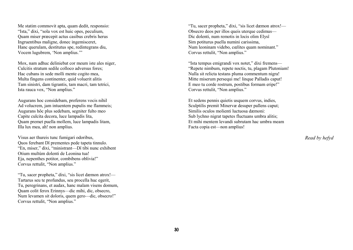Me statim commovit apta, quam dedit, responsio: "Ista," dixi, "sola vox est huic opes, peculium, Quam miser præcepit actus casibus crebris herus Ingruentibus maligne, donec ingemisceret, Hanc querulam, destitutus spe, redintegrans diu, Vocem lugubrem, 'Non amplius.'"

Mox, nam adhuc deliniebat cor meum iste ales niger, Culcitis stratum sedile colloco adversus fores; Hac cubans in sede molli mente cogito mea, Multa fingens continenter, quid voluerit alitis Tam sinistri, dam tigrantis, tam macri, tam tetrici, Ista rauca vox, "Non amplius."

Augurans hoc considebam, proferens vocis nihil Ad volucrem, jam intuentem pupulis me flammeis; Augurans hôc plus sedebam, segniter fulto meo Capite culcita decora, luce lampadis lita, Quam premet puella mollem, luce lampadis litam, Illa lux mea, ah! non amplius.

Visus aer thureis tunc fumigari odoribus, Quos ferebant Dî prementes pede tapeta tinnulo. "En, miser," dixi, "ministrant—Dî tibi nunc exhibent Otium multùm dolenti de Leonina tua! Eja, nepenthes potitor, combibens oblivia!" Corvus rettulit, "Non amplius."

"Tu, sacer propheta," dixi, "sis licet dæmon atrox!— Tartarus seu te profundus, seu procella huc egerit, Tu, peregrinans, et audax, hanc malam visens domum, Quam colit ferox Erinnys—dic mihi, dic, obsecro, Num levamen sit doloris, quem gero—dic, obsecro!" Corvus rettulit, "Non amplius."

"Tu, sacer propheta," dixi, "sis licet dæmon atrox!— Obsecro deos per illos queis uterque cedimus— Dic dolenti, num remotis in locis olim Elysî Sim potiturus puella numini carissima, Num leoninam videbo, cœlites quam nominant." Corvus rettulit, "Non amplius."

"Ista tempus emigrandi vox notet," dixi fremens— "Repete nimbum, repete noctis, tu, plagam Plutoniam! Nulla sit relicta testans pluma commentum nigra! Mitte miserum persequi me! linque Palladis caput! E meo tu corde rostrum, postibus formam eripe!" Corvus rettulit, "Non amplius."

Et sedens pennis quietis usquem corvus, indies, Sculptilis premit Minervæ desuper pallens caput; Similis oculos molienti luctuosa dæmoni: Sub lychno nigrat tapetes fluctuans umbra alitis; Et mihi mentem levandi subrutam hac umbra meam Facta copia est—non amplius!

*Read by hefyd*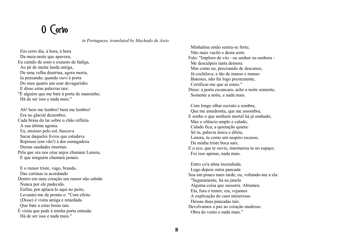### O Corvo

*in Portuguese, translated by Machado de Assis* 

 Em certo dia, à hora, à hora Da meia-noite que apavora, Eu caindo de sono e exausto de fadiga, Ao pé de muita lauda antiga, De uma velha doutrina, agora morta, Ia pensando, quando ouvi à porta Do meu quarto um soar devagarinho E disse estas palavras tais: "É alguém que me bate à porta de mansinho; Há de ser isso e nada mais."

 Ah! bem me lembro! bem me lembro! Era no glacial dezembro; Cada brasa do lar sobre o chão refletia A sua última agonia. Eu, ansioso pelo sol, buscava Sacar daqueles livros que estudava Repouso (em vão!) à dor esmagadora Destas saudades imortais Pela que ora nos céus anjos chamam Lenora, E que ninguém chamará jamais.

 E o rumor triste, vago, brando, Das cortinas ia acordando Dentro em meu coração um rumor não sabido Nunca por ele padecido. Enfim, por aplacá-lo aqui no peito, Levantei-me de pronto e: "Com efeito (Disse) é visita amiga e retardada Que bate a estas horas tais. É visita que pede à minha porta entrada: Há de ser isso e nada mais."

 Minhalma então sentiu-se forte; Não mais vacilo e desta sorte Falo: "Imploro de vós - ou senhor ou senhora - Me desculpeis tanta demora. Mas como eu, precisando de descanso, Já cochilava, e tão de manso e manso Batestes, não fui logo prestemente, Certificar-me que aí estais." Disse: a porta escancaro, acho a noite somente, Somente a noite, e nada mais.

 Com longo olhar escruto a sombra, Que me amedronta, que me assombra, E sonho o que nenhum mortal há já sonhado, Mas o silêncio amplo e calado, Calado fica; a quietação quieta: Só tu, palavra única e dileta, Lenora, tu como um suspiro escasso, Da minha triste boca sais; E o eco, que te ouviu, murmurou-te no espaço; Foi isso apenas, nada mais.

 Entro co'a alma incendiada. Logo depois outra pancada Soa um pouco mais tarde; eu, voltando-me a ela: "Seguramente, há na janela Alguma coisa que sussurra. Abramos. Ela, fora o temor, eia, vejamos A explicação do caso misterioso Dessas duas pancadas tais. Devolvamos a paz ao coração medroso. Obra do vento e nada mais."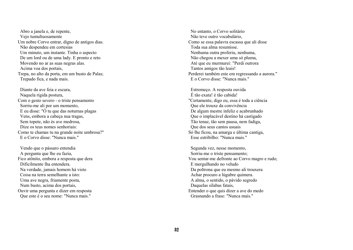Abro a janela e, de repente, Vejo tumultuosamente Um nobre Corvo entrar, digno de antigos dias. Não despendeu em cortesias Um minuto, um instante. Tinha o aspecto De um lord ou de uma lady. E pronto e reto Movendo no ar as suas negras alas. Acima voa dos portais, Trepa, no alto da porta, em um busto de Palas; Trepado fica, e nada mais.

 Diante da ave feia e escura, Naquela rígida postura, Com o gesto severo - o triste pensamento Sorriu-me ali por um momento, E eu disse: " $\overline{O}$  tu que das noturnas plagas Vens, embora a cabeça nua tragas, Sem topete, não és ave medrosa, Dize os teus nomes senhoriais: Como te chamas tu na grande noite umbrosa?" E o Corvo disse: "Nunca mais."

 Vendo que o pássaro entendia A pergunta que lhe eu fazia, Fico atônito, embora a resposta que dera Dificilmente lha entendera. Na verdade, jamais homem há visto Coisa na terra semelhante a isto: Uma ave negra, friamente posta, Num busto, acima dos portais, Ouvir uma pergunta e dizer em resposta Que este é o seu nome: "Nunca mais."

 No entanto, o Corvo solitário Não teve outro vocabulário, Como se essa palavra escassa que ali disse Toda sua alma resumisse. Nenhuma outra proferiu, nenhuma, Não chegou a mexer uma só pluma, Até que eu murmurei: "Perdi outrora Tantos amigos tão leais! Perderei também este em regressando a aurora." E o Corvo disse: "Nunca mais."

 Estremeço. A resposta ouvida É tão exata! é tão cabida! "Certamente, digo eu, essa é toda a ciência Que ele trouxe da convivência De algum mestre infeliz e acabrunhado Que o implacável destino há castigado Tão tenaz, tão sem pausa, nem fadiga, Que dos seus cantos usuais Só lhe ficou, na amarga e última cantiga, Esse estribilho: "Nunca mais."

 Segunda vez, nesse momento, Sorriu-me o triste pensamento; Vou sentar-me defronte ao Corvo magro e rudo; E mergulhando no veludo Da poltrona que eu mesmo ali trouxera Achar procuro a lúgubre quimera. A alma, o sentido, o pávido segredo Daquelas sílabas fatais, Entender o que quis dizer a ave do medo Grasnando a frase: "Nunca mais."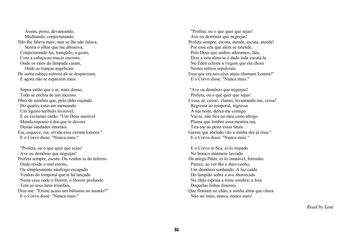Assim, posto, devaneando, Meditando, conjecturando, Não lhe falava mais; mas se lhe não falava, Sentia o olhar que me abrasava, Conjecturando fui, tranqüilo, a gosto, Com a cabeça no macio encosto, Onde os raios da lâmpada caiam, Onde as tranças angelicais De outra cabeça outrora ali se desparziam, E agora não se esparzem mais.

 Supus então que o ar, mais denso, Todo se enchia de um incenso. Obra de serafins que, pelo chão roçando Do quarto, estavam meneando Um ligeiro turíbulo invisível; E eu exclamei então: "Um Deus sensível Manda repouso à dor que te devora Destas saudades imortais. Eia, esquece, eia, olvida essa extinta Lenora." E o Corvo disse: "Nunca mais."

 "Profeta, ou o que quer que sejas! Ave ou demônio que negrejas! Profeta sempre, escuta: Ou venhas tu do inferno Onde reside o mal eterno, Ou simplesmente náufrago escapado Venhas do temporal que te há lançado Nesta casa onde o Horror, o Horror profundo Tem os seus lares triunfais, Dize-me: "Existe acaso um bálsamo no mundo?" E o Corvo disse: "Nunca mais."

 "Profeta, ou o que quer que sejas! Ave ou demônio que negrejas! Profeta sempre, escuta, atende, escuta, atende! Por esse céu que além se estende, Pelo Deus que ambos adoramos, fala, Dize a esta alma se é dado inda escutá-la No Éden celeste a virgem que ela chora Nestes retiros sepulcrais. Essa que ora nos céus anjos chamam Lenora!" E o Corvo disse: "Nunca mais."

 "Ave ou demônio que negrejas! Profeta, ou o que quer que sejas! Cessa, ai, cessa!, clamei, levantando-me, cessa! Regressa ao temporal, regressa À tua noite, deixa-me comigo. Vai-te, não fica no meu casto abrigo Pluma que lembre essa mentira tua, Tira-me ao peito essas fatais Garras que abrindo vão a minha dor já crua." E o Corvo disse: "Nunca mais."

 E o Corvo aí fica; ei-lo trepado No branco mármore lavrado Da antiga Palas; ei-lo imutável, ferrenho. Parece, ao ver-lhe o duro cenho, Um demônio sonhando. A luz caída Do lampião sobre a ave aborrecida No chão espraia a triste sombra; e fora Daquelas linhas funerais Que flutuam no chão, a minha alma que chora Não sai mais, nunca, nunca mais!

*Read by Leni*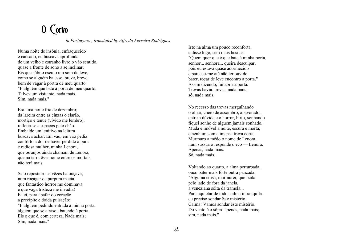### O Corvo

*in Portuguese, translated by Alfredo Ferreira Rodrigues*

Numa noite de insônia, enfraquecido e cansado, eu buscava aprofundar de um velho e estranho livro o vão sentido, quase a fronte de sono a se inclinar; Eis que súbito escuto um som de leve, como se alguém batesse, breve, breve, bem de vagar à portra de meu quarto. "É alguém que bate à porta de meu quarto. Talvez um visitante, nada mais. Sim, nada mais."

Era uma noite fria de dezembro; da lareira entre as cinzas o clarão, mortiço e tênue (vívido me lembro), refletia-se a espaços pelo chão. Embalde um lenitivo na leitura buscava achar. Em vão, em vão pedia confôrto à dor de haver perdido a pura e radiosa mulher, minha Lenora, que os anjos ainda chamam de Lenora, que na terra êsse nome entre os mortais, não terá mais.

Se o reposteiro as vêzes balouçava, num roçagar de púrpura macia, que fantástico horror me dominava e que vaga tristeza me invadia! Falei, para abafar do coração a precípite e doida pulsação: "É alguem pedindo entrada à minha porta, alguém que se atrasou batendo à porta. Eis o que é, com certeza. Nada mais; Sim, nada mais."

Isto na alma um pouco reconforta, e disse logo, sem mais hesitar: "Quem quer que é que bate à minha porta, senhor... senhora... queira desculpar, pois eu estava quase adormecido e pareceu-me até não ter ouvido bater, roçar de leve encontro à porta." Assim dizendo, fui abrir a porta. Trevas havia. trevas, nada mais; só, nada mais.

No recesso das trevas mergulhando o olhar, cheio de assombro, apavorado, entre a dúvida e o horror, hirto, sonhando fiquei sonho de alguém jamais sonhado. Muda e imóvel a noite, escura e morta; e nenhum som a imensa treva corta. Murmuro a mêdo o nome de Lenora, num sussurro responde o eco — Lenora. Apenas, nada mais. Só, nada mais.

Voltando ao quarto, a alma perturbada, ouço bater mais forte outra pancada. "Alguma coisa, murmurei, que ocila pelo lado de fora da janela, a veneziana sólta da tramela... Para aquietar de todo a alma intranquila eu preciso sondar êste mistério. Calma! Vamos sondar êste mistério. Do vento é o sôpro apenas, nada mais; sim, nada mais."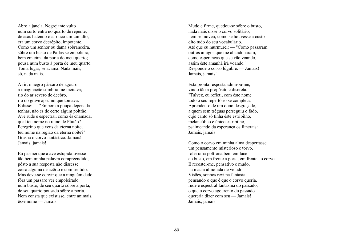Abro a janela. Negrejante vulto num surto entra no quarto de repente; de asas batendo o ar ouço um tumulto; era um corvo decrépito, impotente. Como um senhor ou dama sobranceira, sôbre um busto de Pallas se empoleira, bem em cima da porta do meu quarto; pousa num busto à porta de meu quarto. Toma lugar, se acama. Nada mais, só, nada mais.

A rir, o negro pássaro de agouro a imaginação sombria me incitava; rio do ar severo de decôro, rio do grave aprumo que tomava. E disse: — "Embora a poupa depenada tenhas, não és de certo algum poltrão. Ave rude e espectral, como és chamada, qual teu nome no reino de Plutão? Peregrino que vens da eterna noite, teu nome na região da eterna noite?" Grasna o corvo fantástico: Jamais! Jamais, jamais!

Eu pasmei que a ave estupida tivesse tão bem minha palavra compreendido, pôsto a sua resposta não dissesse coisa alguma de acêrto e com sentido. Mas deve-se convir que a ninguém dado fôra um pássaro ver empoleirado num busto, de seu quarto sôbre a porta, de seu quarto pousado sôbre a porta. Nem consta que existisse, entre animais, êsse nome — Jamais.

Mudo e firme, quedou-se sôbre o busto, nada mais disse o corvo solitário, nem se moveu, como se houvesse a custo dito tudo do seu vocabulário. Até que eu murmurei: — "Como passaram outros amigos que me abandonaram, como esperanças que se vão voando, assim êste amanhã irá voando." Responde o corvo lúgubre: — Jamais! Jamais, jamais!

Esta pronta resposta admirou-me, vindo tão a propósito e discreta. "Talvez, eu refleti, com êste nome todo o seu repertório se completa. Aprendeu-o de um dono desgraçado, a quem sem tréguas perseguiu o fado, cujo canto só tinha êste estribilho, melancólico e único estribilho, psalmeando da esperança os funerais: Jamais, jamais!

Como o corvo em minha alma despertasse um pensamento misterioso e torvo, rolei uma poltrona bem em face ao busto, em frente à porta, em frente ao corvo. E recostei-me, pensativo e mudo, na macia almofada de veludo. Visões, sonhos revi na fantasia, pensando o que é que o corvo queria, rude e espectral fantasma do passado, o que o corvo agourento do passado quereria dizer com seu — Jamais! Jamais, jamais!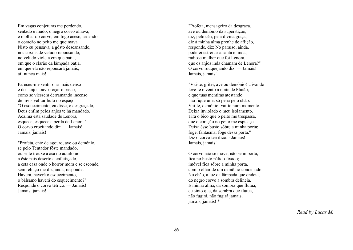Em vagas conjeturas me perdendo, sentado e mudo, o negro corvo olhava; e o olhar do corvo, em fogo aceso, ardendo, o coração no peito me queimava. Nisto eu pensava, a gôsto descansando, nos coxins de veludo repousando, no veludo violeta em que batia, em que o clarão da lâmpada batia, em que ela não repousará jamais, ai! nunca mais!

Pareceu-me sentir o ar mais denso e dos anjos ouvir roçar o passo, como se viessem derramando incenso de invisível turíbulo no espaço. "O esquecimento, eu disse, ó desgraçado, Deus enfim pelos anjos te há mandado. Acalma esta saudade de Lenora, esquece, esquece a perda de Lenora." O corvo crocitando diz: — Jamais! Jamais, jamais!

"Profeta, ente de agouro, ave ou demônio, se pelo Tentador fôste mandado, ou se te trouxe a asa do aquilônio a êste pais deserto e enfeitiçado, a esta casa onde o horror mora e se esconde, sem rebuço me diz, anda, responde: Haverá, haverá o esquecimento, o bálsamo haverá do esquecimento?" Responde o corvo tétrico: — Jamais! Jamais, jamais!

"Profeta, mensageiro da desgraça, ave ou demônio da superstição, diz, pelo céu, pela divina graça, diz à minha alma prenhe de aflição, responde, diz: No paraíso, ainda, poderei estreitar a santa e linda, radiosa mulher que foi Lenora. que os anjos inda chamam de Lenora?" O corvo rouquejando diz: — Jamais! Jamais, jamais!

"Vai-te, gritei, ave ou demônio! Uivando leve-te o vento à noite de Plutão; e que tuas mentiras atestando não fique uma só pena pelo chão. Vai-te, demônio; vai-te num momento. Deixa inviolado o meu isolamento. Tira o bico que o peito me trespassa, que o coração no peito me espicaça. Deixa êsse busto sôbre a minha porta; foge, fantasma; foge dessa porta." Diz o corvo terrífico: - Jamais! Jamais, jamais!

O corvo não se move, não se importa, fica no busto pálido fixado; imóvel fica sôbre a minha porta, com o olhar de um demônio condenado. No chão, a luz da lâmpada que ondeia, do negro corvo a sombra delineia. E minha alma, da sombra que flutua, eu sinto que, da sombra que flutua, não fugirá, não fugirá jamais, jamais, jamais! \*

*Read by Lucas M.*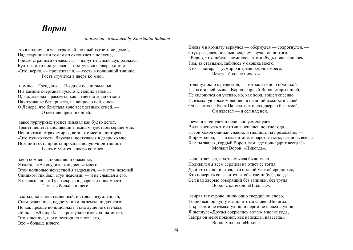#### *Ворон*

*in Russian , translated by Konstantin Balmont*

-то в полночь, в час угрюмый, полный тягостною думой, Над старинными томами я склонялся в полусне, Грезам странным отдавался, — вдруг неясный звук раздался, Будто кто-то постучался — постучался в дверь ко мне. «Это, верно, — прошептал я, — гость в полночной тишине, Гость стучится в дверь ко мне».

 помню… Ожиданье… Поздней осени рыданья… И в камине очертанья тускло тлеющих углей… О, как жаждал я рассвета, как я тщетно ждал ответа На страданье без привета, на вопрос о ней, о ней — О Леноре, что блистала ярче всех земных огней, — О светиле прежних дней.

 завес пурпурных трепет издавал как будто лепет, Трепет, лепет, наполнявший темным чувством сердце мне. Непонятный страх смиряя, встал я с места, повторяя: «Это только гость, блуждая, постучался в дверь ко мне, Поздний гость приюта просит в полуночной тишине — Гость стучится в дверь ко мне».

 свои сомненья, победивши опасенья, Я сказал: «Не осудите замедленья моего! Этой полночью ненастной я вздремнул, — и стук неясный Слишком тих был, стук неясный, — и не слышал я его, Я не слышал…» Тут раскрыл я дверь жилища моего: Тьма - и больше ничего.

 застыл, во тьме стесненный, и стоял я изумленный, Снам отдавшись, недоступным на земле ни для кого; Но как прежде ночь молчала, тьма душе не отвечала, Лишь — «Ленора!» — прозвучало имя солнца моего, — Это я шепнул, и эхо повторило вновь его, — Эхо – больше ничего.

Вновь я в комнату вернулся — обернулся — содрогнулся, — Стук раздался, но слышнее, чем звучал он до того. «Верно, что-нибудь сломилось, что-нибудь пошевелилось, Там, за ставнями, забилось у окошка моего, Это — ветер, — усмирю я трепет сердца моего, — Ветер – больше ничего».

 толкнул окно с решеткой, — тотчас важною походкой Из-за ставней вышел Ворон, гордый Ворон старых дней, Не склонился он учтиво, но, как лорд, вошел спесиво И, взмахнув крылом лениво, в пышной важности своей Он взлетел на бюст Паллады, что над дверью был моей, Он взлетел — и сел над ней.

 печали я очнулся и невольно усмехнулся, Видя важность этой птицы, жившей долгие года. «Твой хохол ощипан славно, и глядишь ты презабавно, — Я промолвил, — но скажи мне: в царстве тьмы, где ночь всегда, Как ты звался, гордый Ворон, там, где ночь царит всегда?» Молвил Ворон: «Никогда».

 ясно отвечала, и хоть смысла было мало, Подивился я всем сердцем на ответ ее тогда. Да и кто не подивится, кто с такой мечтой сроднится, Кто поверить согласится, чтобы где-нибудь, когда - Сел над дверью говорящий без запинки, без труда Ворон с кличкой: «Никогда».

 взирая так сурово, лишь одно твердил он слово, Точно всю он душу вылил в этом слове «Никогда», И крылами не взмахнул он, и пером не шевельнул он, — Я шепнул: «Друзья сокрылись вот уж многие года, Завтра он меня покинет, как надежды, навсегда». Ворон молвил: «Никогда».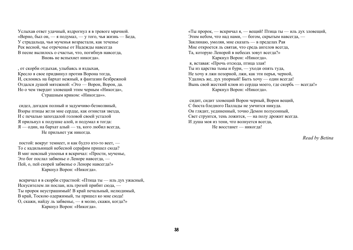Услыхав ответ удачный, вздрогнул я в тревоге мрачной. «Верно, был он, — я подумал, — у того, чья жизнь — Беда, У страдальца, чьи мученья возрастали, как теченье Рек весной, чье отреченье от Надежды навсегда В песне вылилось о счастьи, что, погибнув навсегда, Вновь не вспыхнет никогда».

, от скорби отдыхая, улыбаясь и вздыхая, Кресло я свое придвинул против Ворона тогда, И, склонясь на бархат нежный, я фантазии безбрежной Отдался душой мятежной: «Это — Ворон, Ворон, да. Но о чем твердит зловещий этим черным «Никогда», Страшным криком: «Никогда»».

 сидел, догадок полный и задумчиво-безмолвный, Взоры птицы жгли мне сердце, как огнистая звезда, И с печалью запоздалой головой своей усталой Я прильнул к подушке алой, и подумал я тогда: Я — один, на бархат алый — та, кого любил всегда, Не прильнет уж никогда.

 постой: вокруг темнеет, и как будто кто-то веет, — То с кадильницей небесной серафим пришел сюда? В миг неясный упоенья я вскричал: «Прости, мученье, Это бог послал забвенье о Леноре навсегда, — Пей, о, пей скорей забвенье о Леноре навсегда!» Каркнул Ворон: «Никогда».

 вскричал я в скорби страстной: «Птица ты — иль дух ужасный, Искусителем ли послан, иль грозой прибит сюда, — Ты пророк неустрашимый! В край печальный, нелюдимый, В край, Тоскою одержимый, ты пришел ко мне сюда! О, скажи, найду ль забвенье, — я молю, скажи, когда?» Каркнул Ворон: «Никогда».

«Ты пророк, — вскричал я, — вещий! Птица ты — иль дух зловещий, Этим небом, что над нами, — богом, скрытым навсегда, — Заклинаю, умоляя, мне сказать — в пределах Рая Мне откроется ль святая, что средь ангелов всегда, Та, которую Ленорой в небесах зовут всегда?» Каркнул Ворон: «Никогда». я, вставая: «Прочь отсюда, птица злая! Ты из царства тьмы и бури, — уходи опять туда, Не хочу я лжи позорной, лжи, как эти перья, черной, Удались же, дух упорный! Быть хочу — один всегда!

Вынь свой жесткий клюв из сердца моего, где скорбь — всегда!» Каркнул Ворон: «Никогда».

 сидит, сидит зловещий Ворон черный, Ворон вещий, С бюста бледного Паллады не умчится никуда. Он глядит, уединенный, точно Демон полусонный, Свет струится, тень ложится, — на полу дрожит всегда. И душа моя из тени, что волнуется всегда, Не восстанет — никогда!

*Read by Betina*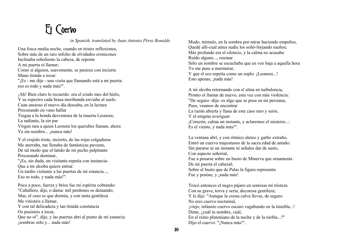# El Cuervo

*in Spanish, translated by Juan Antonio Pérez Bonalde*

Una fosca media noche, cuando en tristes reflexiones, Sobre más de un raro infolio de olvidados cronicones Inclinaba soñoliento la cabeza, de repente A mi puerta oí llamar; Como si alguien, suavemente, se pusiese con incierta Mano tímida a tocar: "¡Es - me dije - una visita que llamando está a mi puerta: eso es todo y nada más!". ¡Ah! Bien claro lo recuerdo: era el crudo mes del hielo,

Y su espectro cada brasa moribunda enviaba al suelo. Cuan ansioso el nuevo día deseaba, en la lectura Procurando en vano hallar Tregua a la honda desventura de la muerta Leonora; La radiante, la sin par Virgen rara a quien Leonora los querubes llaman, ahora Ya sin nombre... ¡nunca más!

Y el crujido triste, incierto, de las rojas colgaduras Me aterraba, me llenaba de fantásticas pavuras, De tal modo que el latido de mi pecho palpitante Procurando dominar,

"¡Es, sin duda, un visitante-repetía con instancia-Que a mi alcoba quiere entrar:

Un tardío visitante a las puertas de mi estancia..., Eso es todo, y nada más!".

Poco a poco, fuerza y bríos fue mi espíritu cobrando: "Caballero, dije, o dama: mil perdones os demando; Mas, el caso es que dormía, y con tanta gentileza Me vinisteis a llamar, Y con tal delicadeza y tan tímida constancia Os pusisteis a tocar, Que no oí", dije, y las puertas abrí al punto de mi estancia: ¡sombras sólo y... nada más!

Mudo, trémulo, en la sombra por mirar haciendo empeños, Quedé allí-cual antes nadie los soñó-forjando sueños; Más profundo era el silencio, y la calma no acusaba Ruido alguno..., resonar Sólo un nombre se escuchaba que en voz baja a aquella hora Yo me puse a murmurar, Y que el eco repetía como un soplo: ¡Leonora...! Esto apenas, ¡nada más!

A mi alcoba retornando con el alma en turbulencia, Pronto oí llamar de nuevo, esta vez con más violencia: "De seguro -dije- es algo que se posa en mi persiana, Pues, veamos de encontrar La razón abierta y llana de este caso raro y serio, Y el enigma averiguar: ¡Corazón, calma un instante, y aclaremos el misterio...: Es el viento, y nada más!".

La ventana abrí, y con rítmico aleteo y garbo extraño, Entró un cuervo majestuoso de la sacra edad de antaño. Sin pararse ni un instante ni señales dar de susto, Con aspecto señorial, Fue a posarse sobre un busto de Minerva que ornamenta De mi puerta el cabezal; Sobre el busto que de Palas la figura representa Fue y posóse, y ¡nada más!

Trocó entonces el negro pájaro en sonrisas mi tristeza Con su grave, torva y seria, decorosa gentileza; Y le dije: "Aunque la cresta calva llevas, de seguro No eres cuervo nocturnal, ¡viejo, infausto cuervo oscuro vagabundo en la tiniebla...! Dime, ¿cuál tu nombre, cuál, En el reino plutoniano de la noche y de la niebla...?" Dijo el cuervo: "¡Nunca más!".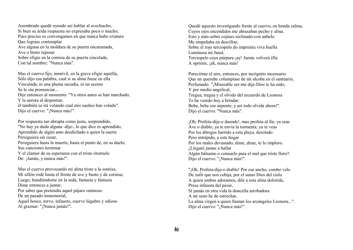Asombrado quedé oyendo así hablar al avechucho, Si bien su árida respuesta no expresaba poco o mucho; Pues preciso es convengamos en que nunca hubo criatura Que lograse contemplar Ave alguna en la moldura de su puerta encaramada, Ave o bruto reposar Sobre efigie en la cornisa de su puerta cincelada, Con tal nombre: "Nunca más".

Mas el cuervo fijo, inmóvil, en la grave efigie aquélla, Sólo dijo esa palabra, cual si su alma fuese en ella Vinculada, ni una pluma sacudía, ni un acento Se le oía pronunciar... Dije entonces al momento: "Ya otros antes se han marchado, Y la aurora al despuntar, él también se irá volando cual mis sueños han volado". Dijo el cuervo: "¡Nunca más!".

Por respuesta tan abrupta como justa, sorprendido, "No hay ya duda alguna -dije-, lo que dice es aprendido; Aprendido de algún amo desdichado a quien la suerte Persiguiera sin cesar, Persiguiera hasta la muerte, hasta el punto de, en su duelo, Sus canciones terminar Y el clamor de su esperanza con el triste ritornelo De: ¡Jamás, y nunca más!".

Mas el cuervo provocando mi alma triste a la sonrisa, Mi sillón rodé hasta el frente de ave y busto y de cornisa; Luego, hundiéndome en la seda, fantasía y fantasía Dime entonces a juntar, Por saber que pretendía aquel pájaro ominoso De un pasado inmemorial, Aquel hosco, torvo, infausto, cuervo lúgubre y odioso Al graznar: "¡Nunca jamás!".

Quedé aquesto investigando frente al cuervo, en honda calma, Cuyos ojos encendidos me abrasaban pecho y alma. Esto y más-sobre cojines reclinado-con anhelo Me empeñaba en descifrar, Sobre el rojo terciopelo do imprimía viva huella Luminosa mi fanal, Terciopelo cuya púrpura ¡ay! Jamás volverá élla A oprimir, ¡ah, nunca más!

Parecióme el aire, entonces, por incógnito incensario Que un querube columpiase de mi alcoba en el santuario, Perfumado. "¡Miserable ser-me dije-Dios te ha oído, Y por medio angelical, Tregua, tregua y el olvido del recuerdo de Leonora Te ha venido hoy a brindar: Bebe, bebe ese nepente, y así todo olvida ahora!". Dijo el cuervo: "Nunca más".

¡Oh, Profeta-dije-o duende!, mas profeta al fin, ya seas Ave o diablo, ya te envía la tormenta, ya te veas Por los ábregos barrido a esta playa, desolado Pero intrépido, a este hogar Por los males devastado, dime, dime, te lo imploro. ¿Llegaré jamas a hallar Algún bálsamo o consuelo para el mal que triste lloro?. Dijo el cuervo: "¡Nunca más!".

"¡Oh, Profeta-dije-o diablo! Por ese ancho, combo velo De zafir que nos cobija, por el sumo Dios del cielo A quien ambos adoramos, dile a esta alma dolorida, Presa infausta del pesar, Si jamás en otra vida la doncella arrobadora A mi seno he de estrechar, La alma virgen a quien llaman los arcángeles Leonora...". Dijo el cuervo: "¡Nunca más!".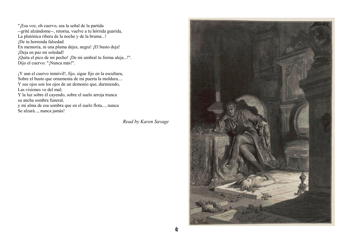"¡Esa voz, oh cuervo, sea la señal de la partida --grité alzándome--, retorna, vuelve a tu hórrida guarida, La plutónica ribera de la noche y de la bruma...! ¡De tu horrenda falsedad En memoria, ni una pluma dejes, negra! ¡El busto deja! ¡Deja en paz mi soledad! ¡Quita el pico de mi pecho! ¡De mi umbral tu forma aleja...!". Dijo el cuervo: "¡Nunca más!".

¡Y aun el cuervo inmóvil!, fijo, sigue fijo en la escultura, Sobre el busto que ornamenta de mi puerta la moldura.... Y sus ojos son los ojos de un demonio que, durmiendo, Las visiones ve del mal;

Y la luz sobre él cayendo, sobre el suelo arroja trunca su ancha sombra funeral,

y mi alma de esa sombra que en el suelo flota..., nunca Se alzará..., nunca jamás!

*Read by Karen Savage* 

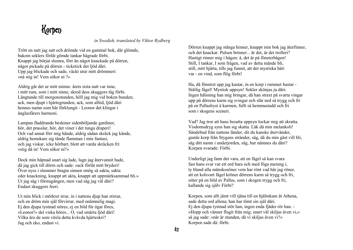#### Korpen

*in Swedish, translated by Viktor Rydberg*

Trött en natt jag satt och drömde vid en gammal bok, där glömde, bakom seklers förlåt gömde tankar hägrade förbi. Knappt jag börjat slumra, förr än något knackade på dörren, något pickade på dörren - ticketick det ljöd däri. Upp jag blickade och sade, väckt utur mitt drömmeri: »nå stig in! Vem söker ni ?»

Aldrig går det ur mitt minne: årets sista natt var inne, i mitt rum, som i mitt sinne, skred dess skuggors tåg förbi. Längtande till morgonstunden, höll jag mig vid boken bunden; ack, men djupt i hjärtegrunden, ack, som alltid, ljöd däri hennes namn som här förklungit - Leonor det klingar i änglasfärers harmoni.

Lampan fladdrande beskiner sidenböljande gardiner, hör, det prasslar, hör, det viner i det tunga draperi! Och vad annat förr mig hände, aldrig sådan skräck jag kände, aldrig hemskare sig tände flamman i min fantasi, och jag viskar, icke hörbart, blott att varda skräcken fri: »stig då in! Vem söker ni?»

Dock min häpnad snart sig lade, lugn jag återvunnit hade, då jag gick till dörrn och sade: »ack förlåt mitt bryderi! Över nyss i slummer bragta sinnen smög så sakta, sakta eder knackning, knappt att akta, knappt att uppmärksammad bli.» Ut jag såg i förstugången, men vad såg jag väl däri? Endast skuggors feeri.

Ut min blick i mörkret irrar, in i nattens djup han stirrar, och en dröm min själ förvirrar, med onämnelig magi. Ej den djupa tystnad störes, ej en bild för ögat föres, »Leonor!» det viska höres... O, vad smärta ljöd däri! Vilka äro de som växla detta kvävda hjärteskri? Jag och eko, endast vi.

Dörren knappt jag stänga hinner, knappt min bok jag återfinner, och det knackar. Pulsen brinner... är det, är det trolleri? Hastigt rinner mig i hågen: å, det är på fönsterbågen! Still, I tankar, I som frågen, vad av detta månde bli, still, mitt hjärta, tills jag funnit, att det mystiska häri var - en vind, som flög förbi!

Ha, då fönstret upp jag kastar, in en korp i rummet hastar - Ståtlig fågel! Mystisk uppsyn! Sekler skönjas ju däri. Ingen hälsning han mig bringar, då han straxt på svarta vingar upp på dörrens karm sig svingar och slår ned så trygg och fri på en Pallasbyst å karmen, fullt så hemmastadd och fri som i skogens sceneri.

Vad? Jag tror att hans besatta uppsyn lockar mig att skratta. Visdomsdryg syns han sig skatta. Läk då min melankoli! Sändebud från nattens länder, dit du kanske återvänder, gamle korp från Stygens stränder, säg, då du min gäst vill bli, säg ditt namn i underjorden, säg, hur nämnes du däri? Korpen svarade: Förbi.

Underligt jag fann det vara, att en fågel så kan svara fast hans svar var ett ord bara och med föga mening i, ty bland alla mänskosöner vem har rönt vad här jag röner, att en kolsvart fågel kröner dörrens karm så trygg och fri, sitter på en bild av Pallas, som i skogen trygg och fri, kallande sig själv Förbi?

Korpen, som allt jämt vill tjäna till en hjälmkam åt Athena, sade detta ord allena; han har tömt sin själ däri. Ej den djupa tystnad stör han, ingen enda fjäder rör han. - »Hopp och vänner flugit från mig; snart väl skiljas även vi,» så jag sade: »när är stunden, då vi skiljas även vi?» Korpen sade då: förbi.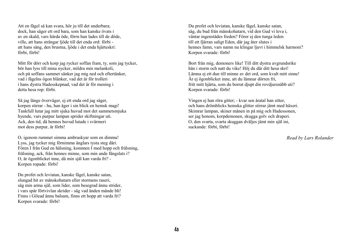Att en fågel så kan svara, hör ju till det underbara; dock, han säger ett ord bara, som han kanske övats i av en skald, vars hårda öde, förrn han lades till de döde, ville, att hans strängar ljöde till det enda ord: förbi att hans sång, den brustna, ljöde i det enda hjärteskri: förbi, förbi!

Mitt för dörr och korp jag rycker soffan fram, ty, som jag tycker, bör han lyss till mina nycker, mildra min melankoli, och på soffans sammet sänker jag mig ned och eftertänker, vad i fågelns ögon blänker, vad det är för trolleri i hans dystra Hadesskepnad, vad det är för mening i detta hesa rop: förbi.

Så jag länge överväger, ej ett enda ord jag säger, korpen stirrar - hu, han äger i sin blick en hemsk magi! Tankfull lutar jag mitt sjuka huvud mot det sammetsmjuka hyende, vars purpur lampan sprider skiftningar uti. Ack, den tid, då hennes huvud lutade i svärmeri mot dess purpur, är förbi!

O, igenom rummet simma ambraskyar som en dimma! Lyss, jag tycker mig förnimma änglars tysta steg däri. Fören I från Gud en hälsning, kommen I med hopp och frälsning, frälsning, ack, från hennes minne, som min ande fängslats i? O, är ögonblicket inne, då min själ kan varda fri? - Korpen ropade: förbi!

Du profet och leviatan, kanske fågel, kanske satan, slungad hit av mänskohatarn eller stormens raseri, säg min arma själ, som lider, som besegrad ännu strider, i vars spår förtvivlan skrider - säg vad änden månde bli! Finns i Gilead ännu balsam, finns ett hopp att varda fri? Korpen svarade: förbi!

Du profet och leviatan, kanske fågel, kanske satan, säg, du bud från mänskohatarn, vid den Gud vi leva i, väntar ingenstädes freden? Förer ej den tunga leden till ett fjärran saligt Eden, där jag åter slutes i hennes famn, vars namn nu klingar ljuvt i himmelsk harmoni? Korpen svarade: förbi!

Bort från mig, demoners like! Till ditt dystra avgrundsrike hän i storm och natt du vike! Höj du där ditt hesa skri! Lämna ej ett dun till minne av det ord, som kvalt mitt sinne! Är ej ögonblicket inne, att du lämnar dörren fri, fritt mitt hjärta, som du borrat djupt din rovdjursnäbb uti? Korpen svarade: förbi!

Vingen ej han röra gitter; - kvar sen åratal han sitter, och hans drömblicks hemska glitter stirrar jämt med häxeri. Skimrar lampan, skiner månen in på mig och Hadessonen, ser jag honom, korpdemonen, skugga golv och draperi. O, den svarta, svarta skuggan dväljes jämt min själ ini, suckande: förbi, förbi!

*Read by Lars Rolander*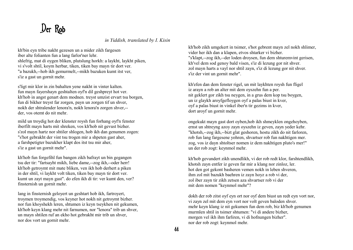# Der Rob

*in Yiddish, translated by I. Kisin*

kh'bin eyn tribe nakht gezesen un a mider zikh fargesen iber alte folianten fun a lang farlor'ner lehr. shlefrig, mat di oygen bliken, plutslung horkh: a laykht, laykht piken, vi s'volt shtil, koym herbar, tiken, tiken bay mayn tir dort ver. "a bazukh,--hob ikh gemurmelt,--mikh bazuken kumt itst ver, s'iz a gast un gornit mehr.

s'ligt mir klor in zin bahalten yene nakht in vinter kalten. fun mayn fayershayn geshtalten oyf'n dil geshpreyt hot ver. kh'hob in angst genart dem modnen. treyst umzist ervart tsu borgen, fun di bikher treyst far zorgen, payn un zorgen tif un shver, nokh der shtralender lenora'n, nokh lenora'n zorgen shver,- der, vos otemt do nit mehr.

mild un troydig hot der klenster roysh fun forhang oyf'n fenster iberfilt mayn harts mit shreken, vos kh'hob nit gevust bizher. s'zol mayn hartz nor shtiler shlogen, hob ikh dan genumen zogen: "s'hot gebrakht der vint tsu trogen mir a shpeten gast aher, a farshpetigter bazukher klapt dos itst tsu mir aher, s'iz a gast un gornit mehr".

kh'hob fun forgefihl fun bangen zikh bafrayt un bin gegangen tsu der tir: "fartsayht mikh, liebe dame,--zog ikh,--oder herr! kh'hob getroymt mit mate bliken, ven ikh hob derhert a piken in der shtil, vi laykht volt tiken, tiken bay mayn tir dort ver. kumt un zayt mayn gast". do efen ikh di tir: ver kumt den, ver? finsternish un gornit mehr.

lang in finsternish geloyert un geshtart hob ikh, fartroyert, troymen troymendig, vos keyner hot nokh nit getroymt bizher. nor fun khoyshekh leren, shtumen iz keyn tseykhen nit gekumen, kh'hob keyn klang mehr nit farnumen, nor "lenora" trib un shver, un mayn shtilen ruf an ekho hot gebrakht mir trib un shver, nor dos vort un gornit mehr.

kh'hob zikh umgekert in tsimer, s'hot gebrent mayn zel nokh shlimer, vider her ikh dan a klapen, etvos shtarker vi bizher. "s'klapt,--zog ikh,--der loden droysen, fun dem shturemvint gerisen, kh'vel dem sod genoy bald visen, s'iz di lezung gor nit shver. zol mayn harts a vayl nor shtil zayn, s'iz di lezung gor nit shver. s'iz der vint un gornit mehr".

kh'efen dan dem fenster rigel, un mit laykhten roysh fun fligel iz arayn a rob an alter mit dem oyszehn fun a per. nit geklert gor zikh tsu neygen, in a grus dem kop tsu boygen, un iz glaykh aroyfgefloygen oyf a palas biust in kver, oyf a palas biust in vinkel iber'n tir gezims in kver, dort aroyf un gornit mehr.

ongekukt mayn gast dort oyben,hob ikh shmeyklen ongehoyben, ernst un shtreyng azoy zayn oyszehn iz geven, zayn yeder kehr. "khotsh,--zog ikh,--bizt glat geshoren, hostu zikh do nit farloren, rob fun lang fargesene yohren, shvartser rob fun nakhtigen mer. zog, vos iz dayn shtoltser nomen iz dem nakhtigen pluto's mer!" un der rob zogt: keynmol mehr.

kh'hob gevundert zikh unendlikh, vi der rob redt klor, farshtendlikh, khotsh zayn entfer iz geven far mir a klang nor zinloz, ler. hot den got gekont basheren vemen nokh in leben shveren, ihm zol mit bazukh baehren iz zayn hoyz a rob vi der, zol iber zayn tir zikh zetsen aza shvartser rob vi der mit dem nomen "keynmol mehr"?

dokh der rob zitst oyf eyn ort nor oyf dem biust un redt eyn vort nor, vi zayn zel mit dem eyn vort nor volt geven baloden shver. mehr keyn klang iz nit gekumen fun dem rob, biz kh'hob genumen murmlen shtil in tsimer shtumen: "vi di andere bizher, morgen vel ikh ihm farliren, vi di hofnungen bizher". nor der rob zogt: keynmol mehr.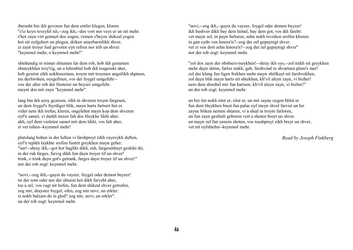iberasht bin ikh gevoren fun dem entfer klugen, kloren. "s'iz keyn tsveyfel nit,--zog ikh,--dos vort nor veys er un nit mehr. s'hot zayn virt gemuzt dos zogen, vemen s'beyze shikzal yogen hot nit oyfgehert un plogen, driken umerbarmlikh shver, iz zayn troyer lied gevoren eyn refren nor trib un shver: "keynmol mehr, o keynmol mehr!"

shtehendig in tsimer shtumen far dem rob, hob ikh genumen shmeykhlen troy'rig, un a lehnshtul hob ikh tsugerukt aher, hob gezetst zikh nokhtsuzinen, troym mit troymen angstlikh shpinen, tsu derforshen, oysgefinen, vos der foygel umgefehr- vos der alter rob der finsterer un beyzer umgefehr. meynt dos mit zayn "keynmol mehr".

lang bin ikh azoy gezesen, zikh in shveren troym fargesen, un dem foygel's fayrdiger blik, mayn harts fartsert hot er. vider nem ikh trefen, kleren, ongelehnt mayn kop dem shveren oyf'n samet, vi durkh treren falt dos bleykhe likht aher. akh, oyf dem violeten samet mit dem likht, vos falt aher, zi vet ruhen--keynmol mehr!

plutslung hoben in der luften vi farshpreyt zikh vayroykh duften, oyf'n tepikh laykhte srofim fustrit greykhen mayn geher. "nar!--shray ikh,--got hot baglikt dikh, ruh, fargesenhayt geshikt dir, in der ruh farges, farvig dikh fun dayn troyer tif un shver! trink, o trink dayn got's getrank, farges dayn troyer tif un shver!" nor der rob zogt: keynmol mehr.

"novi,--zog ikh,--gayst du vayzer, foygel oder demon beyzer! tsi der sotn oder nor der shturm hot dikh farveht aher, tsu a zel, vos vagt nit hofen, fun dem shikzal shver getrofen, zog mir, drayster foygel, ofen, zog mir novi, un erkler: iz nokh balzam do in gled? zog mir, novi, un erkler". un der rob zogt: keynmol mehr.

"novi,--zog ikh,--gayst du vayzer, foygel oder demon beyzer! ikh bashver dikh bay dem himel, bay dem got, vos ikh farehr: vet mayn zel, in payn farloren, zehn nokh tsvishen srofim khoren in gan eydn ven lenora'n?--zog der zel gepaynigt shver. vet zi ven dort zehn lenora'n?--zog der zel gepaynigt shver" nor der rob zogt: keynmol mehr.

"zol dos zayn der obshiers-tseykhen!--shray ikh oys,--zol mikh nit greykhen mehr dayn shtim, farloz mikh, geh, farshvind in shvartsen pluto's mer! zol der klang fun ligen frekhen mehr mayn shtilkayt nit farshvekhen, zol dayn blik mayn harts nit shtekhen, kh'vil aleyn zayn, vi bizher! nem dem shnobel mir fun hartsen, kh'vil aleyn zayn, vi bizher!" un der rob zogt: keynmol mehr.

un biz itst nokh zitst er, zitst er, un mit zayne oygen blitst er fun dem bleykhen biust fun palas oyf meyn shvel farvist un ler. zayne bliken nemen shtaren, vi a shed in troym farloren, un fun zayn geshtalt geboren vert a shoten breyt un shver. un mayn zel fun yenem shoten, vos tsushpreyt zikh breyt un shver, vet nit oyfshtehn--keynmol mehr.

*Read by Joseph Finkberg*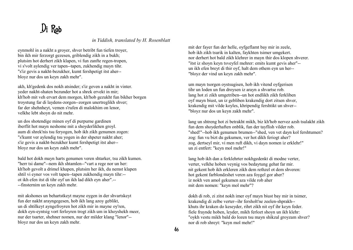# Di Rob

*in Yiddish, translated by H. Rosenblatt*

eynmohl in a nakht a groyer, shver betribt fun tiefen troyer, bin ikh mir ferzorgt gezesen, griblendig zikh in a bukh; plutsim hot derhert zikh klapen, vi fun zanfte regen-tropen, vi s'volt aylendig ver tapen--tapen, zukhendig mayn tihr. "s'iz gevis a nakht-bezukher, kumt fershpetigt itst aher- bloyz nur dos un keyn zakh mehr".

akh, kh'gedenk dos nokh atsinder; s'iz geven a nakht in vinter. yeder nakht-shaten bezunder hot a shrek ervekt in mir; kh'hob mit veh ervart dem morgen, kh'hob gezukht fun bikher borgen troystung far di laydens-zorgen--zorgen unertreglikh shver; far der shehnheyt, vemen s'rufen di malokhim on lenor, velkhe lebt shoyn do nit mehr.

un dos shotendige minen oyf di purpurne gardinen iberflit hot mayn neshome mit a shoyderlikhen groyl. aum di shrek'nis tsu feryogen, hob ikh zikh genumen zogen: "s'kumt ver aylendig tsu yogen in der shpeter nakht aher; s'iz gevis a nakht-bezukher kumt fershpetigt itst aher- bloyz nur dos un keyn zakh mehr".

bald hot dokh mayn harts genumen veren shtarker, tsu zikh kumen. "herr tsi dame"--nem ikh shtamlen--"vart a rege nor un her: kh'hob gevolt a drimel khapen, plutsim her ikh, du nemst klapen shtil vi eyner vos volt tapen--tapen zukhendig mayn tihr:- ot ikh efen itst di tihr oyf un ikh lad dikh eyn aher".-- --finsternim un keyn zakh mehr.

mit akshones un behartstkeyt mayne oygen in der shvartskeyt fun der nakht arayngegesen, hob ikh lang azoy geblikt, un di shtilkeyt ayngefroyren hot zikh mir in mayne oy'ren, dokh eyn-eyntsig vort ferloyren trogt zikh um in khoyshekh meer, nur der tsarter, shehner nomen, nur der milder klang "lenor"- bloyz nur dos un keyn zakh mehr.

mit der fayer fun der helle, oyfgeflamt bay mir in zeele, hob ikh zikh tsurik in kalten, faykhten tsimer umgekert. nor derhert hot bald zikh klehrer in mayn thir dos klopen shverer. "itst iz shoyn keyn tsveyfel mehrer: emits kumt gevis aher"- un ikh efen breyt di thir oyf, halt dem othem eyn un her-- "bloyz der vind un keyn zakh mehr".

um mayn tsorgen oystsugisen, hob ikh vitend oyfgerisen tihr un loden un fun droysen iz arayn a shvartse rob. lang hot zi zikh umgetriben--un hot endlikh zikh ferkliben oyf mayn biust, un iz gebliben krakendig dort zitsen shver, krakendig mit vilde koyles, khripendig fershtikt un shver-- "bloyz nur dos un keyn zakh mehr".

lang un shtreng hot zi betrakht mikh, biz kh'hob nervez azsh tsulakht zikh fun dem shoyderhaften onblik, fun der tayflish vilder rob. "shed!"--hob ikh genumen brumen--"shed, ven vet dayn kol fershtumen? zog: fun vu bizt du gekumen, ver hot dikh feriogt aher? zog, dertseyl mir, vi men ruft dikh, vi dayn nomen iz erklehr!" un zi entfert: "keyn mol mehr!"

lang hob ikh dan a ferklehrter nokhgedenkt di modne verter, verter, velkhe hoben veynig vos bedaytung gehat far mir. nit gekent hob ikh erkleren zikh dem rethzel ot dem shveren: hot gekent farblondzshet veren aza foygel gor aher? iz nokh ven amol gekumen aza vilde rob aher mit dem nomen: "keyn mol mehr"?

dokh di rob, zi zitst nokh imer oyf mayn biust bay mir in tsimer, krakendig di zelbe verter--ihr fersholt'ne zeelen-shprakh- khuts ihr kraken do keseyder, rihrt zikh nit oyf ihr keyn feder. fiele fraynde hoben, leyder, mikh ferlozt shoyn un ikh klehr: "oykh vestu mikh bald do lozen tsu mayn shikzal groyzam shver? nor di rob shreyt: "keyn mol mehr!"